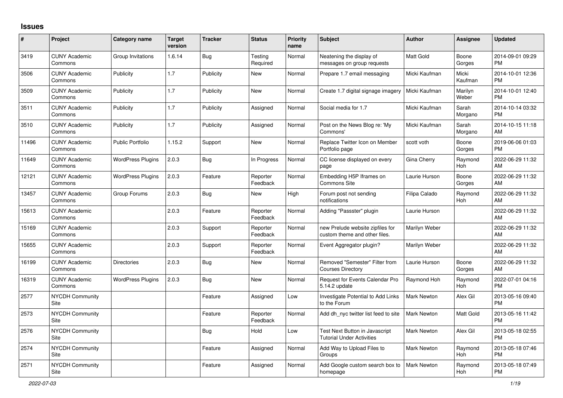## **Issues**

| $\vert$ # | Project                         | Category name            | <b>Target</b><br>version | <b>Tracker</b> | <b>Status</b>        | <b>Priority</b><br>name | <b>Subject</b>                                                     | <b>Author</b>      | Assignee              | <b>Updated</b>                |
|-----------|---------------------------------|--------------------------|--------------------------|----------------|----------------------|-------------------------|--------------------------------------------------------------------|--------------------|-----------------------|-------------------------------|
| 3419      | <b>CUNY Academic</b><br>Commons | Group Invitations        | 1.6.14                   | Bug            | Testing<br>Required  | Normal                  | Neatening the display of<br>messages on group requests             | <b>Matt Gold</b>   | Boone<br>Gorges       | 2014-09-01 09:29<br><b>PM</b> |
| 3506      | <b>CUNY Academic</b><br>Commons | Publicity                | 1.7                      | Publicity      | New                  | Normal                  | Prepare 1.7 email messaging                                        | Micki Kaufman      | Micki<br>Kaufman      | 2014-10-01 12:36<br><b>PM</b> |
| 3509      | <b>CUNY Academic</b><br>Commons | Publicity                | 1.7                      | Publicity      | New                  | Normal                  | Create 1.7 digital signage imagery                                 | Micki Kaufman      | Marilyn<br>Weber      | 2014-10-01 12:40<br><b>PM</b> |
| 3511      | <b>CUNY Academic</b><br>Commons | Publicity                | 1.7                      | Publicity      | Assigned             | Normal                  | Social media for 1.7                                               | Micki Kaufman      | Sarah<br>Morgano      | 2014-10-14 03:32<br><b>PM</b> |
| 3510      | <b>CUNY Academic</b><br>Commons | Publicity                | 1.7                      | Publicity      | Assigned             | Normal                  | Post on the News Blog re: 'My<br>Commons'                          | Micki Kaufman      | Sarah<br>Morgano      | 2014-10-15 11:18<br>AM        |
| 11496     | <b>CUNY Academic</b><br>Commons | <b>Public Portfolio</b>  | 1.15.2                   | Support        | New                  | Normal                  | Replace Twitter Icon on Member<br>Portfolio page                   | scott voth         | Boone<br>Gorges       | 2019-06-06 01:03<br><b>PM</b> |
| 11649     | <b>CUNY Academic</b><br>Commons | <b>WordPress Plugins</b> | 2.0.3                    | <b>Bug</b>     | In Progress          | Normal                  | CC license displayed on every<br>page                              | <b>Gina Cherry</b> | Raymond<br>Hoh        | 2022-06-29 11:32<br>AM        |
| 12121     | <b>CUNY Academic</b><br>Commons | <b>WordPress Plugins</b> | 2.0.3                    | Feature        | Reporter<br>Feedback | Normal                  | Embedding H5P Iframes on<br><b>Commons Site</b>                    | Laurie Hurson      | Boone<br>Gorges       | 2022-06-29 11:32<br>AM        |
| 13457     | <b>CUNY Academic</b><br>Commons | Group Forums             | 2.0.3                    | <b>Bug</b>     | New                  | High                    | Forum post not sending<br>notifications                            | Filipa Calado      | Raymond<br><b>Hoh</b> | 2022-06-29 11:32<br>AM        |
| 15613     | <b>CUNY Academic</b><br>Commons |                          | 2.0.3                    | Feature        | Reporter<br>Feedback | Normal                  | Adding "Passster" plugin                                           | Laurie Hurson      |                       | 2022-06-29 11:32<br>AM        |
| 15169     | <b>CUNY Academic</b><br>Commons |                          | 2.0.3                    | Support        | Reporter<br>Feedback | Normal                  | new Prelude website zipfiles for<br>custom theme and other files.  | Marilyn Weber      |                       | 2022-06-29 11:32<br>AM        |
| 15655     | <b>CUNY Academic</b><br>Commons |                          | 2.0.3                    | Support        | Reporter<br>Feedback | Normal                  | Event Aggregator plugin?                                           | Marilyn Weber      |                       | 2022-06-29 11:32<br>AM        |
| 16199     | <b>CUNY Academic</b><br>Commons | <b>Directories</b>       | 2.0.3                    | Bug            | New                  | Normal                  | Removed "Semester" Filter from<br><b>Courses Directory</b>         | Laurie Hurson      | Boone<br>Gorges       | 2022-06-29 11:32<br>AM        |
| 16319     | <b>CUNY Academic</b><br>Commons | <b>WordPress Plugins</b> | 2.0.3                    | Bug            | <b>New</b>           | Normal                  | Request for Events Calendar Pro<br>5.14.2 update                   | Raymond Hoh        | Raymond<br>Hoh        | 2022-07-01 04:16<br><b>PM</b> |
| 2577      | <b>NYCDH Community</b><br>Site  |                          |                          | Feature        | Assigned             | Low                     | Investigate Potential to Add Links<br>to the Forum                 | Mark Newton        | Alex Gil              | 2013-05-16 09:40<br><b>PM</b> |
| 2573      | <b>NYCDH Community</b><br>Site  |                          |                          | Feature        | Reporter<br>Feedback | Normal                  | Add dh nyc twitter list feed to site                               | <b>Mark Newton</b> | Matt Gold             | 2013-05-16 11:42<br><b>PM</b> |
| 2576      | NYCDH Community<br>Site         |                          |                          | <b>Bug</b>     | Hold                 | Low                     | Test Next Button in Javascript<br><b>Tutorial Under Activities</b> | Mark Newton        | Alex Gil              | 2013-05-18 02:55<br><b>PM</b> |
| 2574      | <b>NYCDH Community</b><br>Site  |                          |                          | Feature        | Assigned             | Normal                  | Add Way to Upload Files to<br>Groups                               | Mark Newton        | Raymond<br>Hoh        | 2013-05-18 07:46<br><b>PM</b> |
| 2571      | <b>NYCDH Community</b><br>Site  |                          |                          | Feature        | Assigned             | Normal                  | Add Google custom search box to<br>homepage                        | <b>Mark Newton</b> | Raymond<br>Hoh        | 2013-05-18 07:49<br><b>PM</b> |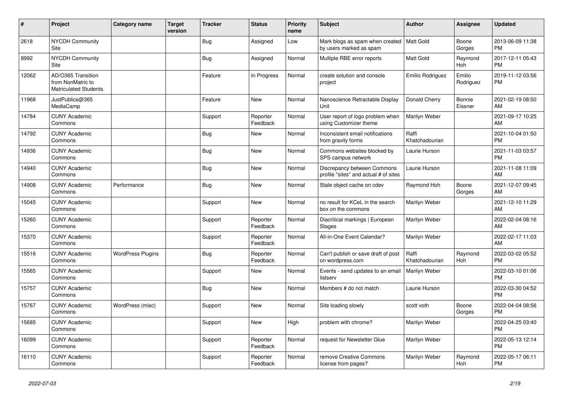| #     | Project                                                                 | Category name            | Target<br>version | <b>Tracker</b> | <b>Status</b>        | <b>Priority</b><br>name | <b>Subject</b>                                                         | <b>Author</b>           | <b>Assignee</b>     | <b>Updated</b>                |
|-------|-------------------------------------------------------------------------|--------------------------|-------------------|----------------|----------------------|-------------------------|------------------------------------------------------------------------|-------------------------|---------------------|-------------------------------|
| 2618  | <b>NYCDH Community</b><br>Site                                          |                          |                   | <b>Bug</b>     | Assigned             | Low                     | Mark blogs as spam when created   Matt Gold<br>by users marked as spam |                         | Boone<br>Gorges     | 2013-06-09 11:38<br><b>PM</b> |
| 8992  | <b>NYCDH Community</b><br>Site                                          |                          |                   | <b>Bug</b>     | Assigned             | Normal                  | Multiple RBE error reports                                             | <b>Matt Gold</b>        | Raymond<br>Hoh      | 2017-12-11 05:43<br><b>PM</b> |
| 12062 | AD/O365 Transition<br>from NonMatric to<br><b>Matriculated Students</b> |                          |                   | Feature        | In Progress          | Normal                  | create solution and console<br>project                                 | Emilio Rodriguez        | Emilio<br>Rodriguez | 2019-11-12 03:56<br><b>PM</b> |
| 11968 | JustPublics@365<br>MediaCamp                                            |                          |                   | Feature        | New                  | Normal                  | Nanoscience Retractable Display<br>Unit                                | Donald Cherry           | Bonnie<br>Eissner   | 2021-02-19 08:50<br>AM        |
| 14784 | <b>CUNY Academic</b><br>Commons                                         |                          |                   | Support        | Reporter<br>Feedback | Normal                  | User report of logo problem when<br>using Customizer theme             | Marilyn Weber           |                     | 2021-09-17 10:25<br>AM        |
| 14792 | <b>CUNY Academic</b><br>Commons                                         |                          |                   | <b>Bug</b>     | <b>New</b>           | Normal                  | Inconsistent email notifications<br>from gravity forms                 | Raffi<br>Khatchadourian |                     | 2021-10-04 01:50<br><b>PM</b> |
| 14936 | <b>CUNY Academic</b><br>Commons                                         |                          |                   | Bug            | <b>New</b>           | Normal                  | Commons websites blocked by<br>SPS campus network                      | Laurie Hurson           |                     | 2021-11-03 03:57<br><b>PM</b> |
| 14940 | <b>CUNY Academic</b><br>Commons                                         |                          |                   | Bug            | <b>New</b>           | Normal                  | Discrepancy between Commons<br>profile "sites" and actual # of sites   | Laurie Hurson           |                     | 2021-11-08 11:09<br>AM        |
| 14908 | <b>CUNY Academic</b><br>Commons                                         | Performance              |                   | Bug            | <b>New</b>           | Normal                  | Stale object cache on cdev                                             | Raymond Hoh             | Boone<br>Gorges     | 2021-12-07 09:45<br>AM        |
| 15045 | <b>CUNY Academic</b><br>Commons                                         |                          |                   | Support        | <b>New</b>           | Normal                  | no result for KCeL in the search<br>box on the commons                 | Marilyn Weber           |                     | 2021-12-10 11:29<br>AM        |
| 15260 | <b>CUNY Academic</b><br>Commons                                         |                          |                   | Support        | Reporter<br>Feedback | Normal                  | Diacritical markings   European<br>Stages                              | Marilyn Weber           |                     | 2022-02-04 08:16<br>AM        |
| 15370 | <b>CUNY Academic</b><br>Commons                                         |                          |                   | Support        | Reporter<br>Feedback | Normal                  | All-in-One Event Calendar?                                             | Marilyn Weber           |                     | 2022-02-17 11:03<br>AM        |
| 15516 | <b>CUNY Academic</b><br>Commons                                         | <b>WordPress Plugins</b> |                   | Bug            | Reporter<br>Feedback | Normal                  | Can't publish or save draft of post<br>on wordpress.com                | Raffi<br>Khatchadourian | Raymond<br>Hoh      | 2022-03-02 05:52<br><b>PM</b> |
| 15565 | <b>CUNY Academic</b><br>Commons                                         |                          |                   | Support        | <b>New</b>           | Normal                  | Events - send updates to an email<br>listserv                          | Marilyn Weber           |                     | 2022-03-10 01:06<br><b>PM</b> |
| 15757 | <b>CUNY Academic</b><br>Commons                                         |                          |                   | Bug            | <b>New</b>           | Normal                  | Members # do not match                                                 | Laurie Hurson           |                     | 2022-03-30 04:52<br><b>PM</b> |
| 15767 | <b>CUNY Academic</b><br>Commons                                         | WordPress (misc)         |                   | Support        | <b>New</b>           | Normal                  | Site loading slowly                                                    | scott voth              | Boone<br>Gorges     | 2022-04-04 08:56<br><b>PM</b> |
| 15685 | <b>CUNY Academic</b><br>Commons                                         |                          |                   | Support        | New                  | High                    | problem with chrome?                                                   | Marilyn Weber           |                     | 2022-04-25 03:40<br><b>PM</b> |
| 16099 | <b>CUNY Academic</b><br>Commons                                         |                          |                   | Support        | Reporter<br>Feedback | Normal                  | request for Newsletter Glue                                            | Marilyn Weber           |                     | 2022-05-13 12:14<br><b>PM</b> |
| 16110 | <b>CUNY Academic</b><br>Commons                                         |                          |                   | Support        | Reporter<br>Feedback | Normal                  | remove Creative Commons<br>license from pages?                         | Marilyn Weber           | Raymond<br>Hoh      | 2022-05-17 06:11<br><b>PM</b> |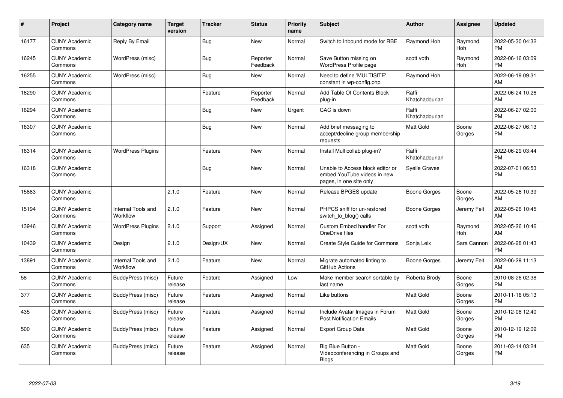| $\pmb{\sharp}$ | Project                         | Category name                  | <b>Target</b><br>version | <b>Tracker</b> | <b>Status</b>        | <b>Priority</b><br>name | <b>Subject</b>                                                                             | <b>Author</b>           | <b>Assignee</b>       | <b>Updated</b>                |
|----------------|---------------------------------|--------------------------------|--------------------------|----------------|----------------------|-------------------------|--------------------------------------------------------------------------------------------|-------------------------|-----------------------|-------------------------------|
| 16177          | <b>CUNY Academic</b><br>Commons | Reply By Email                 |                          | Bug            | <b>New</b>           | Normal                  | Switch to Inbound mode for RBE                                                             | Raymond Hoh             | Raymond<br>Hoh        | 2022-05-30 04:32<br><b>PM</b> |
| 16245          | <b>CUNY Academic</b><br>Commons | WordPress (misc)               |                          | Bug            | Reporter<br>Feedback | Normal                  | Save Button missing on<br>WordPress Profile page                                           | scott voth              | Raymond<br><b>Hoh</b> | 2022-06-16 03:09<br><b>PM</b> |
| 16255          | <b>CUNY Academic</b><br>Commons | WordPress (misc)               |                          | <b>Bug</b>     | <b>New</b>           | Normal                  | Need to define 'MULTISITE'<br>constant in wp-config.php                                    | Raymond Hoh             |                       | 2022-06-19 09:31<br>AM        |
| 16290          | <b>CUNY Academic</b><br>Commons |                                |                          | Feature        | Reporter<br>Feedback | Normal                  | Add Table Of Contents Block<br>plug-in                                                     | Raffi<br>Khatchadourian |                       | 2022-06-24 10:26<br>AM        |
| 16294          | <b>CUNY Academic</b><br>Commons |                                |                          | Bug            | New                  | Urgent                  | CAC is down                                                                                | Raffi<br>Khatchadourian |                       | 2022-06-27 02:00<br><b>PM</b> |
| 16307          | <b>CUNY Academic</b><br>Commons |                                |                          | Bug            | New                  | Normal                  | Add brief messaging to<br>accept/decline group membership<br>requests                      | <b>Matt Gold</b>        | Boone<br>Gorges       | 2022-06-27 06:13<br><b>PM</b> |
| 16314          | <b>CUNY Academic</b><br>Commons | <b>WordPress Plugins</b>       |                          | Feature        | <b>New</b>           | Normal                  | Install Multicollab plug-in?                                                               | Raffi<br>Khatchadourian |                       | 2022-06-29 03:44<br><b>PM</b> |
| 16318          | <b>CUNY Academic</b><br>Commons |                                |                          | <b>Bug</b>     | <b>New</b>           | Normal                  | Unable to Access block editor or<br>embed YouTube videos in new<br>pages, in one site only | <b>Syelle Graves</b>    |                       | 2022-07-01 06:53<br><b>PM</b> |
| 15883          | <b>CUNY Academic</b><br>Commons |                                | 2.1.0                    | Feature        | <b>New</b>           | Normal                  | Release BPGES update                                                                       | <b>Boone Gorges</b>     | Boone<br>Gorges       | 2022-05-26 10:39<br>AM        |
| 15194          | <b>CUNY Academic</b><br>Commons | Internal Tools and<br>Workflow | 2.1.0                    | Feature        | <b>New</b>           | Normal                  | PHPCS sniff for un-restored<br>switch to blog() calls                                      | Boone Gorges            | Jeremy Felt           | 2022-05-26 10:45<br>AM        |
| 13946          | <b>CUNY Academic</b><br>Commons | <b>WordPress Plugins</b>       | 2.1.0                    | Support        | Assigned             | Normal                  | Custom Embed handler For<br>OneDrive files                                                 | scott voth              | Raymond<br>Hoh        | 2022-05-26 10:46<br>AM        |
| 10439          | <b>CUNY Academic</b><br>Commons | Design                         | 2.1.0                    | Design/UX      | <b>New</b>           | Normal                  | <b>Create Style Guide for Commons</b>                                                      | Sonja Leix              | Sara Cannon           | 2022-06-28 01:43<br><b>PM</b> |
| 13891          | <b>CUNY Academic</b><br>Commons | Internal Tools and<br>Workflow | 2.1.0                    | Feature        | <b>New</b>           | Normal                  | Migrate automated linting to<br>GitHub Actions                                             | Boone Gorges            | Jeremy Felt           | 2022-06-29 11:13<br>AM        |
| 58             | <b>CUNY Academic</b><br>Commons | BuddyPress (misc)              | Future<br>release        | Feature        | Assigned             | Low                     | Make member search sortable by<br>last name                                                | Roberta Brody           | Boone<br>Gorges       | 2010-08-26 02:38<br><b>PM</b> |
| 377            | <b>CUNY Academic</b><br>Commons | <b>BuddyPress (misc)</b>       | Future<br>release        | Feature        | Assigned             | Normal                  | Like buttons                                                                               | <b>Matt Gold</b>        | Boone<br>Gorges       | 2010-11-16 05:13<br><b>PM</b> |
| 435            | <b>CUNY Academic</b><br>Commons | BuddyPress (misc)              | Future<br>release        | Feature        | Assigned             | Normal                  | Include Avatar Images in Forum<br><b>Post Notification Emails</b>                          | <b>Matt Gold</b>        | Boone<br>Gorges       | 2010-12-08 12:40<br><b>PM</b> |
| 500            | <b>CUNY Academic</b><br>Commons | BuddyPress (misc)              | Future<br>release        | Feature        | Assigned             | Normal                  | <b>Export Group Data</b>                                                                   | <b>Matt Gold</b>        | Boone<br>Gorges       | 2010-12-19 12:09<br><b>PM</b> |
| 635            | <b>CUNY Academic</b><br>Commons | BuddyPress (misc)              | Future<br>release        | Feature        | Assigned             | Normal                  | Big Blue Button -<br>Videoconferencing in Groups and<br><b>Blogs</b>                       | Matt Gold               | Boone<br>Gorges       | 2011-03-14 03:24<br><b>PM</b> |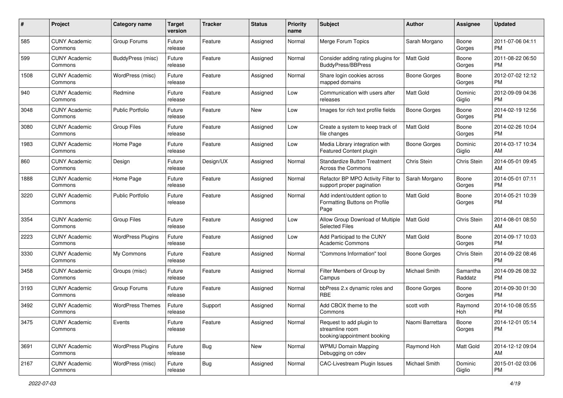| #    | Project                         | <b>Category name</b>     | <b>Target</b><br>version | Tracker    | <b>Status</b> | <b>Priority</b><br>name | <b>Subject</b>                                                             | Author              | <b>Assignee</b>     | <b>Updated</b>                |
|------|---------------------------------|--------------------------|--------------------------|------------|---------------|-------------------------|----------------------------------------------------------------------------|---------------------|---------------------|-------------------------------|
| 585  | <b>CUNY Academic</b><br>Commons | Group Forums             | Future<br>release        | Feature    | Assigned      | Normal                  | Merge Forum Topics                                                         | Sarah Morgano       | Boone<br>Gorges     | 2011-07-06 04:11<br>PM        |
| 599  | <b>CUNY Academic</b><br>Commons | BuddyPress (misc)        | Future<br>release        | Feature    | Assigned      | Normal                  | Consider adding rating plugins for<br><b>BuddyPress/BBPress</b>            | <b>Matt Gold</b>    | Boone<br>Gorges     | 2011-08-22 06:50<br><b>PM</b> |
| 1508 | <b>CUNY Academic</b><br>Commons | WordPress (misc)         | Future<br>release        | Feature    | Assigned      | Normal                  | Share login cookies across<br>mapped domains                               | Boone Gorges        | Boone<br>Gorges     | 2012-07-02 12:12<br><b>PM</b> |
| 940  | <b>CUNY Academic</b><br>Commons | Redmine                  | Future<br>release        | Feature    | Assigned      | Low                     | Communication with users after<br>releases                                 | <b>Matt Gold</b>    | Dominic<br>Giglio   | 2012-09-09 04:36<br><b>PM</b> |
| 3048 | <b>CUNY Academic</b><br>Commons | <b>Public Portfolio</b>  | Future<br>release        | Feature    | New           | Low                     | Images for rich text profile fields                                        | Boone Gorges        | Boone<br>Gorges     | 2014-02-19 12:56<br><b>PM</b> |
| 3080 | <b>CUNY Academic</b><br>Commons | <b>Group Files</b>       | Future<br>release        | Feature    | Assigned      | Low                     | Create a system to keep track of<br>file changes                           | <b>Matt Gold</b>    | Boone<br>Gorges     | 2014-02-26 10:04<br><b>PM</b> |
| 1983 | <b>CUNY Academic</b><br>Commons | Home Page                | Future<br>release        | Feature    | Assigned      | Low                     | Media Library integration with<br>Featured Content plugin                  | Boone Gorges        | Dominic<br>Giglio   | 2014-03-17 10:34<br>AM        |
| 860  | <b>CUNY Academic</b><br>Commons | Design                   | Future<br>release        | Design/UX  | Assigned      | Normal                  | <b>Standardize Button Treatment</b><br>Across the Commons                  | Chris Stein         | Chris Stein         | 2014-05-01 09:45<br>AM        |
| 1888 | <b>CUNY Academic</b><br>Commons | Home Page                | Future<br>release        | Feature    | Assigned      | Normal                  | Refactor BP MPO Activity Filter to<br>support proper pagination            | Sarah Morgano       | Boone<br>Gorges     | 2014-05-01 07:11<br><b>PM</b> |
| 3220 | <b>CUNY Academic</b><br>Commons | <b>Public Portfolio</b>  | Future<br>release        | Feature    | Assigned      | Normal                  | Add indent/outdent option to<br>Formatting Buttons on Profile<br>Page      | Matt Gold           | Boone<br>Gorges     | 2014-05-21 10:39<br>PM        |
| 3354 | <b>CUNY Academic</b><br>Commons | <b>Group Files</b>       | Future<br>release        | Feature    | Assigned      | Low                     | Allow Group Download of Multiple<br>Selected Files                         | <b>Matt Gold</b>    | Chris Stein         | 2014-08-01 08:50<br>AM        |
| 2223 | CUNY Academic<br>Commons        | <b>WordPress Plugins</b> | Future<br>release        | Feature    | Assigned      | Low                     | Add Participad to the CUNY<br><b>Academic Commons</b>                      | <b>Matt Gold</b>    | Boone<br>Gorges     | 2014-09-17 10:03<br><b>PM</b> |
| 3330 | <b>CUNY Academic</b><br>Commons | My Commons               | Future<br>release        | Feature    | Assigned      | Normal                  | "Commons Information" tool                                                 | <b>Boone Gorges</b> | Chris Stein         | 2014-09-22 08:46<br><b>PM</b> |
| 3458 | <b>CUNY Academic</b><br>Commons | Groups (misc)            | Future<br>release        | Feature    | Assigned      | Normal                  | Filter Members of Group by<br>Campus                                       | Michael Smith       | Samantha<br>Raddatz | 2014-09-26 08:32<br><b>PM</b> |
| 3193 | <b>CUNY Academic</b><br>Commons | Group Forums             | Future<br>release        | Feature    | Assigned      | Normal                  | bbPress 2.x dynamic roles and<br><b>RBE</b>                                | Boone Gorges        | Boone<br>Gorges     | 2014-09-30 01:30<br><b>PM</b> |
| 3492 | <b>CUNY Academic</b><br>Commons | <b>WordPress Themes</b>  | Future<br>release        | Support    | Assigned      | Normal                  | Add CBOX theme to the<br>Commons                                           | scott voth          | Raymond<br>Hoh      | 2014-10-08 05:55<br>PM        |
| 3475 | <b>CUNY Academic</b><br>Commons | Events                   | Future<br>release        | Feature    | Assigned      | Normal                  | Request to add plugin to<br>streamline room<br>booking/appointment booking | Naomi Barrettara    | Boone<br>Gorges     | 2014-12-01 05:14<br><b>PM</b> |
| 3691 | <b>CUNY Academic</b><br>Commons | <b>WordPress Plugins</b> | Future<br>release        | Bug        | New           | Normal                  | <b>WPMU Domain Mapping</b><br>Debugging on cdev                            | Raymond Hoh         | Matt Gold           | 2014-12-12 09:04<br>AM        |
| 2167 | <b>CUNY Academic</b><br>Commons | WordPress (misc)         | Future<br>release        | <b>Bug</b> | Assigned      | Normal                  | <b>CAC-Livestream Plugin Issues</b>                                        | Michael Smith       | Dominic<br>Giglio   | 2015-01-02 03:06<br>PM        |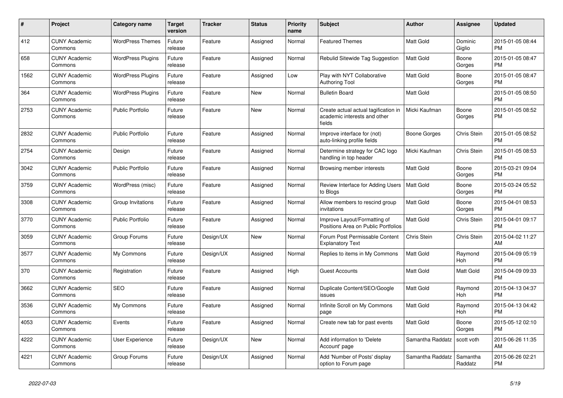| #    | <b>Project</b>                  | Category name            | <b>Target</b><br>version | <b>Tracker</b> | <b>Status</b> | <b>Priority</b><br>name | <b>Subject</b>                                                                 | <b>Author</b>    | Assignee            | <b>Updated</b>                |
|------|---------------------------------|--------------------------|--------------------------|----------------|---------------|-------------------------|--------------------------------------------------------------------------------|------------------|---------------------|-------------------------------|
| 412  | <b>CUNY Academic</b><br>Commons | <b>WordPress Themes</b>  | Future<br>release        | Feature        | Assigned      | Normal                  | <b>Featured Themes</b>                                                         | Matt Gold        | Dominic<br>Giglio   | 2015-01-05 08:44<br><b>PM</b> |
| 658  | <b>CUNY Academic</b><br>Commons | <b>WordPress Plugins</b> | Future<br>release        | Feature        | Assigned      | Normal                  | Rebulid Sitewide Tag Suggestion                                                | <b>Matt Gold</b> | Boone<br>Gorges     | 2015-01-05 08:47<br><b>PM</b> |
| 1562 | <b>CUNY Academic</b><br>Commons | <b>WordPress Plugins</b> | Future<br>release        | Feature        | Assigned      | Low                     | Play with NYT Collaborative<br><b>Authoring Tool</b>                           | Matt Gold        | Boone<br>Gorges     | 2015-01-05 08:47<br><b>PM</b> |
| 364  | <b>CUNY Academic</b><br>Commons | <b>WordPress Plugins</b> | Future<br>release        | Feature        | New           | Normal                  | <b>Bulletin Board</b>                                                          | <b>Matt Gold</b> |                     | 2015-01-05 08:50<br><b>PM</b> |
| 2753 | <b>CUNY Academic</b><br>Commons | <b>Public Portfolio</b>  | Future<br>release        | Feature        | New           | Normal                  | Create actual actual tagification in<br>academic interests and other<br>fields | Micki Kaufman    | Boone<br>Gorges     | 2015-01-05 08:52<br><b>PM</b> |
| 2832 | <b>CUNY Academic</b><br>Commons | <b>Public Portfolio</b>  | Future<br>release        | Feature        | Assigned      | Normal                  | Improve interface for (not)<br>auto-linking profile fields                     | Boone Gorges     | Chris Stein         | 2015-01-05 08:52<br><b>PM</b> |
| 2754 | <b>CUNY Academic</b><br>Commons | Design                   | Future<br>release        | Feature        | Assigned      | Normal                  | Determine strategy for CAC logo<br>handling in top header                      | Micki Kaufman    | Chris Stein         | 2015-01-05 08:53<br><b>PM</b> |
| 3042 | <b>CUNY Academic</b><br>Commons | <b>Public Portfolio</b>  | Future<br>release        | Feature        | Assigned      | Normal                  | Browsing member interests                                                      | Matt Gold        | Boone<br>Gorges     | 2015-03-21 09:04<br><b>PM</b> |
| 3759 | <b>CUNY Academic</b><br>Commons | WordPress (misc)         | Future<br>release        | Feature        | Assigned      | Normal                  | Review Interface for Adding Users<br>to Blogs                                  | Matt Gold        | Boone<br>Gorges     | 2015-03-24 05:52<br><b>PM</b> |
| 3308 | <b>CUNY Academic</b><br>Commons | Group Invitations        | Future<br>release        | Feature        | Assigned      | Normal                  | Allow members to rescind group<br>invitations                                  | <b>Matt Gold</b> | Boone<br>Gorges     | 2015-04-01 08:53<br><b>PM</b> |
| 3770 | <b>CUNY Academic</b><br>Commons | <b>Public Portfolio</b>  | Future<br>release        | Feature        | Assigned      | Normal                  | Improve Layout/Formatting of<br>Positions Area on Public Portfolios            | <b>Matt Gold</b> | Chris Stein         | 2015-04-01 09:17<br><b>PM</b> |
| 3059 | <b>CUNY Academic</b><br>Commons | Group Forums             | Future<br>release        | Design/UX      | New           | Normal                  | Forum Post Permissable Content<br><b>Explanatory Text</b>                      | Chris Stein      | Chris Stein         | 2015-04-02 11:27<br>AM        |
| 3577 | <b>CUNY Academic</b><br>Commons | My Commons               | Future<br>release        | Design/UX      | Assigned      | Normal                  | Replies to items in My Commons                                                 | <b>Matt Gold</b> | Raymond<br>Hoh      | 2015-04-09 05:19<br><b>PM</b> |
| 370  | <b>CUNY Academic</b><br>Commons | Registration             | Future<br>release        | Feature        | Assigned      | High                    | <b>Guest Accounts</b>                                                          | <b>Matt Gold</b> | Matt Gold           | 2015-04-09 09:33<br><b>PM</b> |
| 3662 | <b>CUNY Academic</b><br>Commons | <b>SEO</b>               | Future<br>release        | Feature        | Assigned      | Normal                  | Duplicate Content/SEO/Google<br>issues                                         | <b>Matt Gold</b> | Raymond<br>Hoh      | 2015-04-13 04:37<br><b>PM</b> |
| 3536 | <b>CUNY Academic</b><br>Commons | My Commons               | Future<br>release        | Feature        | Assigned      | Normal                  | Infinite Scroll on My Commons<br>page                                          | <b>Matt Gold</b> | Raymond<br>Hoh      | 2015-04-13 04:42<br><b>PM</b> |
| 4053 | <b>CUNY Academic</b><br>Commons | Events                   | Future<br>release        | Feature        | Assigned      | Normal                  | Create new tab for past events                                                 | <b>Matt Gold</b> | Boone<br>Gorges     | 2015-05-12 02:10<br><b>PM</b> |
| 4222 | <b>CUNY Academic</b><br>Commons | User Experience          | Future<br>release        | Design/UX      | New           | Normal                  | Add information to 'Delete<br>Account' page                                    | Samantha Raddatz | scott voth          | 2015-06-26 11:35<br>AM        |
| 4221 | <b>CUNY Academic</b><br>Commons | Group Forums             | Future<br>release        | Design/UX      | Assigned      | Normal                  | Add 'Number of Posts' display<br>option to Forum page                          | Samantha Raddatz | Samantha<br>Raddatz | 2015-06-26 02:21<br><b>PM</b> |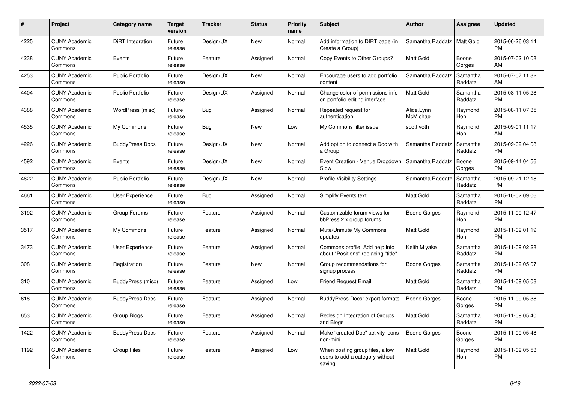| #    | <b>Project</b>                  | Category name           | <b>Target</b><br>version | <b>Tracker</b> | <b>Status</b> | <b>Priority</b><br>name | <b>Subject</b>                                                               | <b>Author</b>           | Assignee            | <b>Updated</b>                |
|------|---------------------------------|-------------------------|--------------------------|----------------|---------------|-------------------------|------------------------------------------------------------------------------|-------------------------|---------------------|-------------------------------|
| 4225 | <b>CUNY Academic</b><br>Commons | DiRT Integration        | Future<br>release        | Design/UX      | <b>New</b>    | Normal                  | Add information to DIRT page (in<br>Create a Group)                          | Samantha Raddatz        | Matt Gold           | 2015-06-26 03:14<br><b>PM</b> |
| 4238 | <b>CUNY Academic</b><br>Commons | Events                  | Future<br>release        | Feature        | Assigned      | Normal                  | Copy Events to Other Groups?                                                 | Matt Gold               | Boone<br>Gorges     | 2015-07-02 10:08<br>AM        |
| 4253 | <b>CUNY Academic</b><br>Commons | <b>Public Portfolio</b> | Future<br>release        | Design/UX      | New           | Normal                  | Encourage users to add portfolio<br>content                                  | Samantha Raddatz        | Samantha<br>Raddatz | 2015-07-07 11:32<br>AM.       |
| 4404 | <b>CUNY Academic</b><br>Commons | <b>Public Portfolio</b> | Future<br>release        | Design/UX      | Assigned      | Normal                  | Change color of permissions info<br>on portfolio editing interface           | <b>Matt Gold</b>        | Samantha<br>Raddatz | 2015-08-11 05:28<br><b>PM</b> |
| 4388 | <b>CUNY Academic</b><br>Commons | WordPress (misc)        | Future<br>release        | Bug            | Assigned      | Normal                  | Repeated request for<br>authentication.                                      | Alice.Lynn<br>McMichael | Raymond<br>Hoh      | 2015-08-11 07:35<br><b>PM</b> |
| 4535 | <b>CUNY Academic</b><br>Commons | My Commons              | Future<br>release        | Bug            | New           | Low                     | My Commons filter issue                                                      | scott voth              | Raymond<br>Hoh      | 2015-09-01 11:17<br><b>AM</b> |
| 4226 | <b>CUNY Academic</b><br>Commons | <b>BuddyPress Docs</b>  | Future<br>release        | Design/UX      | New           | Normal                  | Add option to connect a Doc with<br>a Group                                  | Samantha Raddatz        | Samantha<br>Raddatz | 2015-09-09 04:08<br><b>PM</b> |
| 4592 | <b>CUNY Academic</b><br>Commons | Events                  | Future<br>release        | Design/UX      | <b>New</b>    | Normal                  | Event Creation - Venue Dropdown<br>Slow                                      | Samantha Raddatz        | Boone<br>Gorges     | 2015-09-14 04:56<br><b>PM</b> |
| 4622 | <b>CUNY Academic</b><br>Commons | Public Portfolio        | Future<br>release        | Design/UX      | New           | Normal                  | <b>Profile Visibility Settings</b>                                           | Samantha Raddatz        | Samantha<br>Raddatz | 2015-09-21 12:18<br><b>PM</b> |
| 4661 | <b>CUNY Academic</b><br>Commons | User Experience         | Future<br>release        | Bug            | Assigned      | Normal                  | <b>Simplify Events text</b>                                                  | Matt Gold               | Samantha<br>Raddatz | 2015-10-02 09:06<br><b>PM</b> |
| 3192 | <b>CUNY Academic</b><br>Commons | Group Forums            | Future<br>release        | Feature        | Assigned      | Normal                  | Customizable forum views for<br>bbPress 2.x group forums                     | Boone Gorges            | Raymond<br>Hoh      | 2015-11-09 12:47<br><b>PM</b> |
| 3517 | <b>CUNY Academic</b><br>Commons | My Commons              | Future<br>release        | Feature        | Assigned      | Normal                  | Mute/Unmute My Commons<br>updates                                            | Matt Gold               | Raymond<br>Hoh      | 2015-11-09 01:19<br><b>PM</b> |
| 3473 | <b>CUNY Academic</b><br>Commons | User Experience         | Future<br>release        | Feature        | Assigned      | Normal                  | Commons profile: Add help info<br>about "Positions" replacing "title"        | Keith Miyake            | Samantha<br>Raddatz | 2015-11-09 02:28<br><b>PM</b> |
| 308  | <b>CUNY Academic</b><br>Commons | Registration            | Future<br>release        | Feature        | <b>New</b>    | Normal                  | Group recommendations for<br>signup process                                  | Boone Gorges            | Samantha<br>Raddatz | 2015-11-09 05:07<br><b>PM</b> |
| 310  | <b>CUNY Academic</b><br>Commons | BuddyPress (misc)       | Future<br>release        | Feature        | Assigned      | Low                     | <b>Friend Request Email</b>                                                  | Matt Gold               | Samantha<br>Raddatz | 2015-11-09 05:08<br><b>PM</b> |
| 618  | <b>CUNY Academic</b><br>Commons | <b>BuddyPress Docs</b>  | Future<br>release        | Feature        | Assigned      | Normal                  | BuddyPress Docs: export formats                                              | Boone Gorges            | Boone<br>Gorges     | 2015-11-09 05:38<br><b>PM</b> |
| 653  | <b>CUNY Academic</b><br>Commons | Group Blogs             | Future<br>release        | Feature        | Assigned      | Normal                  | Redesign Integration of Groups<br>and Blogs                                  | Matt Gold               | Samantha<br>Raddatz | 2015-11-09 05:40<br><b>PM</b> |
| 1422 | <b>CUNY Academic</b><br>Commons | <b>BuddyPress Docs</b>  | Future<br>release        | Feature        | Assigned      | Normal                  | Make "created Doc" activity icons<br>non-mini                                | <b>Boone Gorges</b>     | Boone<br>Gorges     | 2015-11-09 05:48<br><b>PM</b> |
| 1192 | <b>CUNY Academic</b><br>Commons | <b>Group Files</b>      | Future<br>release        | Feature        | Assigned      | Low                     | When posting group files, allow<br>users to add a category without<br>saving | Matt Gold               | Raymond<br>Hoh      | 2015-11-09 05:53<br><b>PM</b> |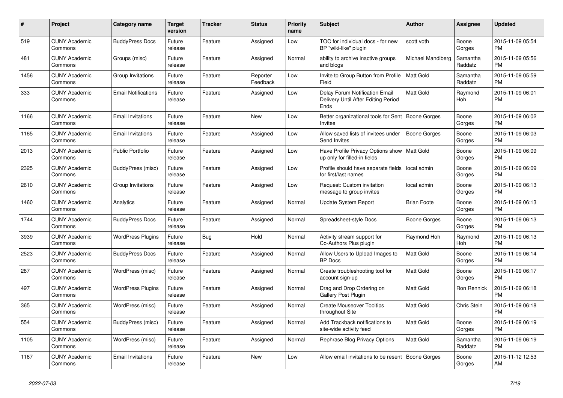| #    | Project                         | Category name              | <b>Target</b><br>version | <b>Tracker</b> | <b>Status</b>        | <b>Priority</b><br>name | <b>Subject</b>                                                                | <b>Author</b>      | Assignee            | <b>Updated</b>                |
|------|---------------------------------|----------------------------|--------------------------|----------------|----------------------|-------------------------|-------------------------------------------------------------------------------|--------------------|---------------------|-------------------------------|
| 519  | <b>CUNY Academic</b><br>Commons | <b>BuddyPress Docs</b>     | Future<br>release        | Feature        | Assigned             | Low                     | TOC for individual docs - for new<br>BP "wiki-like" plugin                    | scott voth         | Boone<br>Gorges     | 2015-11-09 05:54<br><b>PM</b> |
| 481  | <b>CUNY Academic</b><br>Commons | Groups (misc)              | Future<br>release        | Feature        | Assigned             | Normal                  | ability to archive inactive groups<br>and blogs                               | Michael Mandiberg  | Samantha<br>Raddatz | 2015-11-09 05:56<br><b>PM</b> |
| 1456 | <b>CUNY Academic</b><br>Commons | Group Invitations          | Future<br>release        | Feature        | Reporter<br>Feedback | Low                     | Invite to Group Button from Profile<br>Field                                  | <b>Matt Gold</b>   | Samantha<br>Raddatz | 2015-11-09 05:59<br><b>PM</b> |
| 333  | <b>CUNY Academic</b><br>Commons | <b>Email Notifications</b> | Future<br>release        | Feature        | Assigned             | Low                     | Delay Forum Notification Email<br>Delivery Until After Editing Period<br>Ends | <b>Matt Gold</b>   | Raymond<br>Hoh      | 2015-11-09 06:01<br><b>PM</b> |
| 1166 | <b>CUNY Academic</b><br>Commons | <b>Email Invitations</b>   | Future<br>release        | Feature        | New                  | Low                     | Better organizational tools for Sent   Boone Gorges<br><b>Invites</b>         |                    | Boone<br>Gorges     | 2015-11-09 06:02<br><b>PM</b> |
| 1165 | <b>CUNY Academic</b><br>Commons | <b>Email Invitations</b>   | Future<br>release        | Feature        | Assigned             | Low                     | Allow saved lists of invitees under<br>Send Invites                           | Boone Gorges       | Boone<br>Gorges     | 2015-11-09 06:03<br><b>PM</b> |
| 2013 | <b>CUNY Academic</b><br>Commons | <b>Public Portfolio</b>    | Future<br>release        | Feature        | Assigned             | Low                     | Have Profile Privacy Options show<br>up only for filled-in fields             | <b>Matt Gold</b>   | Boone<br>Gorges     | 2015-11-09 06:09<br><b>PM</b> |
| 2325 | <b>CUNY Academic</b><br>Commons | BuddyPress (misc)          | Future<br>release        | Feature        | Assigned             | Low                     | Profile should have separate fields<br>for first/last names                   | local admin        | Boone<br>Gorges     | 2015-11-09 06:09<br><b>PM</b> |
| 2610 | <b>CUNY Academic</b><br>Commons | Group Invitations          | Future<br>release        | Feature        | Assigned             | Low                     | Request: Custom invitation<br>message to group invites                        | local admin        | Boone<br>Gorges     | 2015-11-09 06:13<br><b>PM</b> |
| 1460 | <b>CUNY Academic</b><br>Commons | Analytics                  | Future<br>release        | Feature        | Assigned             | Normal                  | Update System Report                                                          | <b>Brian Foote</b> | Boone<br>Gorges     | 2015-11-09 06:13<br><b>PM</b> |
| 1744 | <b>CUNY Academic</b><br>Commons | <b>BuddyPress Docs</b>     | Future<br>release        | Feature        | Assigned             | Normal                  | Spreadsheet-style Docs                                                        | Boone Gorges       | Boone<br>Gorges     | 2015-11-09 06:13<br><b>PM</b> |
| 3939 | <b>CUNY Academic</b><br>Commons | <b>WordPress Plugins</b>   | Future<br>release        | Bug            | Hold                 | Normal                  | Activity stream support for<br>Co-Authors Plus plugin                         | Raymond Hoh        | Raymond<br>Hoh      | 2015-11-09 06:13<br><b>PM</b> |
| 2523 | <b>CUNY Academic</b><br>Commons | <b>BuddyPress Docs</b>     | Future<br>release        | Feature        | Assigned             | Normal                  | Allow Users to Upload Images to<br><b>BP</b> Docs                             | <b>Matt Gold</b>   | Boone<br>Gorges     | 2015-11-09 06:14<br><b>PM</b> |
| 287  | <b>CUNY Academic</b><br>Commons | WordPress (misc)           | Future<br>release        | Feature        | Assigned             | Normal                  | Create troubleshooting tool for<br>account sign-up                            | Matt Gold          | Boone<br>Gorges     | 2015-11-09 06:17<br><b>PM</b> |
| 497  | <b>CUNY Academic</b><br>Commons | <b>WordPress Plugins</b>   | Future<br>release        | Feature        | Assigned             | Normal                  | Drag and Drop Ordering on<br>Gallery Post Plugin                              | Matt Gold          | Ron Rennick         | 2015-11-09 06:18<br><b>PM</b> |
| 365  | <b>CUNY Academic</b><br>Commons | WordPress (misc)           | Future<br>release        | Feature        | Assigned             | Normal                  | <b>Create Mouseover Tooltips</b><br>throughout Site                           | Matt Gold          | Chris Stein         | 2015-11-09 06:18<br><b>PM</b> |
| 554  | <b>CUNY Academic</b><br>Commons | BuddyPress (misc)          | Future<br>release        | Feature        | Assigned             | Normal                  | Add Trackback notifications to<br>site-wide activity feed                     | <b>Matt Gold</b>   | Boone<br>Gorges     | 2015-11-09 06:19<br><b>PM</b> |
| 1105 | <b>CUNY Academic</b><br>Commons | WordPress (misc)           | Future<br>release        | Feature        | Assigned             | Normal                  | Rephrase Blog Privacy Options                                                 | <b>Matt Gold</b>   | Samantha<br>Raddatz | 2015-11-09 06:19<br><b>PM</b> |
| 1167 | <b>CUNY Academic</b><br>Commons | <b>Email Invitations</b>   | Future<br>release        | Feature        | <b>New</b>           | Low                     | Allow email invitations to be resent   Boone Gorges                           |                    | Boone<br>Gorges     | 2015-11-12 12:53<br>AM        |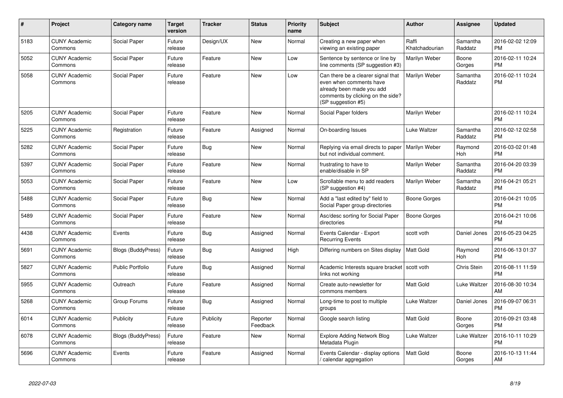| #    | Project                         | <b>Category name</b>      | <b>Target</b><br>version | <b>Tracker</b> | <b>Status</b>        | <b>Priority</b><br>name | <b>Subject</b>                                                                                                                                        | <b>Author</b>           | <b>Assignee</b>     | <b>Updated</b>                |
|------|---------------------------------|---------------------------|--------------------------|----------------|----------------------|-------------------------|-------------------------------------------------------------------------------------------------------------------------------------------------------|-------------------------|---------------------|-------------------------------|
| 5183 | <b>CUNY Academic</b><br>Commons | Social Paper              | Future<br>release        | Design/UX      | <b>New</b>           | Normal                  | Creating a new paper when<br>viewing an existing paper                                                                                                | Raffi<br>Khatchadourian | Samantha<br>Raddatz | 2016-02-02 12:09<br><b>PM</b> |
| 5052 | <b>CUNY Academic</b><br>Commons | Social Paper              | Future<br>release        | Feature        | <b>New</b>           | Low                     | Sentence by sentence or line by<br>line comments (SP suggestion #3)                                                                                   | Marilyn Weber           | Boone<br>Gorges     | 2016-02-11 10:24<br><b>PM</b> |
| 5058 | <b>CUNY Academic</b><br>Commons | Social Paper              | Future<br>release        | Feature        | New                  | Low                     | Can there be a clearer signal that<br>even when comments have<br>already been made you add<br>comments by clicking on the side?<br>(SP suggestion #5) | Marilyn Weber           | Samantha<br>Raddatz | 2016-02-11 10:24<br><b>PM</b> |
| 5205 | <b>CUNY Academic</b><br>Commons | Social Paper              | Future<br>release        | Feature        | <b>New</b>           | Normal                  | Social Paper folders                                                                                                                                  | Marilyn Weber           |                     | 2016-02-11 10:24<br><b>PM</b> |
| 5225 | <b>CUNY Academic</b><br>Commons | Registration              | Future<br>release        | Feature        | Assigned             | Normal                  | On-boarding Issues                                                                                                                                    | Luke Waltzer            | Samantha<br>Raddatz | 2016-02-12 02:58<br><b>PM</b> |
| 5282 | <b>CUNY Academic</b><br>Commons | Social Paper              | Future<br>release        | Bug            | New                  | Normal                  | Replying via email directs to paper<br>but not individual comment.                                                                                    | Marilyn Weber           | Raymond<br>Hoh      | 2016-03-02 01:48<br><b>PM</b> |
| 5397 | <b>CUNY Academic</b><br>Commons | Social Paper              | Future<br>release        | Feature        | New                  | Normal                  | frustrating to have to<br>enable/disable in SP                                                                                                        | Marilyn Weber           | Samantha<br>Raddatz | 2016-04-20 03:39<br><b>PM</b> |
| 5053 | <b>CUNY Academic</b><br>Commons | Social Paper              | Future<br>release        | Feature        | <b>New</b>           | Low                     | Scrollable menu to add readers<br>(SP suggestion #4)                                                                                                  | Marilyn Weber           | Samantha<br>Raddatz | 2016-04-21 05:21<br><b>PM</b> |
| 5488 | <b>CUNY Academic</b><br>Commons | Social Paper              | Future<br>release        | Bug            | <b>New</b>           | Normal                  | Add a "last edited by" field to<br>Social Paper group directories                                                                                     | Boone Gorges            |                     | 2016-04-21 10:05<br><b>PM</b> |
| 5489 | <b>CUNY Academic</b><br>Commons | Social Paper              | Future<br>release        | Feature        | <b>New</b>           | Normal                  | Asc/desc sorting for Social Paper<br>directories                                                                                                      | Boone Gorges            |                     | 2016-04-21 10:06<br><b>PM</b> |
| 4438 | <b>CUNY Academic</b><br>Commons | Events                    | Future<br>release        | <b>Bug</b>     | Assigned             | Normal                  | Events Calendar - Export<br><b>Recurring Events</b>                                                                                                   | scott voth              | Daniel Jones        | 2016-05-23 04:25<br><b>PM</b> |
| 5691 | <b>CUNY Academic</b><br>Commons | <b>Blogs (BuddyPress)</b> | Future<br>release        | Bug            | Assigned             | High                    | Differing numbers on Sites display                                                                                                                    | <b>Matt Gold</b>        | Raymond<br>Hoh      | 2016-06-13 01:37<br><b>PM</b> |
| 5827 | <b>CUNY Academic</b><br>Commons | <b>Public Portfolio</b>   | Future<br>release        | Bug            | Assigned             | Normal                  | Academic Interests square bracket   scott voth<br>links not working                                                                                   |                         | Chris Stein         | 2016-08-11 11:59<br><b>PM</b> |
| 5955 | <b>CUNY Academic</b><br>Commons | Outreach                  | Future<br>release        | Feature        | Assigned             | Normal                  | Create auto-newsletter for<br>commons members                                                                                                         | <b>Matt Gold</b>        | Luke Waltzer        | 2016-08-30 10:34<br>AM        |
| 5268 | <b>CUNY Academic</b><br>Commons | Group Forums              | Future<br>release        | Bug            | Assigned             | Normal                  | Long-time to post to multiple<br>groups                                                                                                               | Luke Waltzer            | Daniel Jones        | 2016-09-07 06:31<br><b>PM</b> |
| 6014 | <b>CUNY Academic</b><br>Commons | Publicity                 | Future<br>release        | Publicity      | Reporter<br>Feedback | Normal                  | Google search listing                                                                                                                                 | <b>Matt Gold</b>        | Boone<br>Gorges     | 2016-09-21 03:48<br><b>PM</b> |
| 6078 | <b>CUNY Academic</b><br>Commons | Blogs (BuddyPress)        | Future<br>release        | Feature        | New                  | Normal                  | <b>Explore Adding Network Blog</b><br>Metadata Plugin                                                                                                 | Luke Waltzer            | Luke Waltzer        | 2016-10-11 10:29<br><b>PM</b> |
| 5696 | <b>CUNY Academic</b><br>Commons | Events                    | Future<br>release        | Feature        | Assigned             | Normal                  | Events Calendar - display options<br>/ calendar aggregation                                                                                           | <b>Matt Gold</b>        | Boone<br>Gorges     | 2016-10-13 11:44<br>AM        |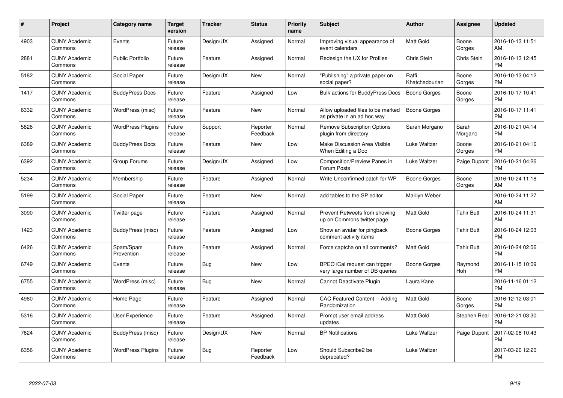| $\#$ | Project                         | <b>Category name</b>     | Target<br>version | <b>Tracker</b> | <b>Status</b>        | Priority<br>name | <b>Subject</b>                                                   | <b>Author</b>           | <b>Assignee</b>    | <b>Updated</b>                |
|------|---------------------------------|--------------------------|-------------------|----------------|----------------------|------------------|------------------------------------------------------------------|-------------------------|--------------------|-------------------------------|
| 4903 | <b>CUNY Academic</b><br>Commons | Events                   | Future<br>release | Design/UX      | Assigned             | Normal           | Improving visual appearance of<br>event calendars                | <b>Matt Gold</b>        | Boone<br>Gorges    | 2016-10-13 11:51<br>AM        |
| 2881 | <b>CUNY Academic</b><br>Commons | <b>Public Portfolio</b>  | Future<br>release | Feature        | Assigned             | Normal           | Redesign the UX for Profiles                                     | Chris Stein             | <b>Chris Stein</b> | 2016-10-13 12:45<br><b>PM</b> |
| 5182 | <b>CUNY Academic</b><br>Commons | Social Paper             | Future<br>release | Design/UX      | New                  | Normal           | "Publishing" a private paper on<br>social paper?                 | Raffi<br>Khatchadourian | Boone<br>Gorges    | 2016-10-13 04:12<br><b>PM</b> |
| 1417 | <b>CUNY Academic</b><br>Commons | <b>BuddyPress Docs</b>   | Future<br>release | Feature        | Assigned             | Low              | Bulk actions for BuddyPress Docs                                 | <b>Boone Gorges</b>     | Boone<br>Gorges    | 2016-10-17 10:41<br><b>PM</b> |
| 6332 | <b>CUNY Academic</b><br>Commons | WordPress (misc)         | Future<br>release | Feature        | <b>New</b>           | Normal           | Allow uploaded files to be marked<br>as private in an ad hoc way | Boone Gorges            |                    | 2016-10-17 11:41<br><b>PM</b> |
| 5826 | <b>CUNY Academic</b><br>Commons | <b>WordPress Plugins</b> | Future<br>release | Support        | Reporter<br>Feedback | Normal           | <b>Remove Subscription Options</b><br>plugin from directory      | Sarah Morgano           | Sarah<br>Morgano   | 2016-10-21 04:14<br><b>PM</b> |
| 6389 | <b>CUNY Academic</b><br>Commons | <b>BuddyPress Docs</b>   | Future<br>release | Feature        | <b>New</b>           | Low              | <b>Make Discussion Area Visible</b><br>When Editing a Doc        | Luke Waltzer            | Boone<br>Gorges    | 2016-10-21 04:16<br><b>PM</b> |
| 6392 | <b>CUNY Academic</b><br>Commons | Group Forums             | Future<br>release | Design/UX      | Assigned             | Low              | Composition/Preview Panes in<br>Forum Posts                      | Luke Waltzer            | Paige Dupont       | 2016-10-21 04:26<br><b>PM</b> |
| 5234 | <b>CUNY Academic</b><br>Commons | Membership               | Future<br>release | Feature        | Assigned             | Normal           | Write Unconfirmed patch for WP                                   | Boone Gorges            | Boone<br>Gorges    | 2016-10-24 11:18<br>AM        |
| 5199 | <b>CUNY Academic</b><br>Commons | Social Paper             | Future<br>release | Feature        | <b>New</b>           | Normal           | add tables to the SP editor                                      | Marilyn Weber           |                    | 2016-10-24 11:27<br>AM        |
| 3090 | <b>CUNY Academic</b><br>Commons | Twitter page             | Future<br>release | Feature        | Assigned             | Normal           | Prevent Retweets from showing<br>up on Commons twitter page      | Matt Gold               | Tahir Butt         | 2016-10-24 11:31<br>AM        |
| 1423 | <b>CUNY Academic</b><br>Commons | BuddyPress (misc)        | Future<br>release | Feature        | Assigned             | Low              | Show an avatar for pingback<br>comment activity items            | Boone Gorges            | <b>Tahir Butt</b>  | 2016-10-24 12:03<br><b>PM</b> |
| 6426 | <b>CUNY Academic</b><br>Commons | Spam/Spam<br>Prevention  | Future<br>release | Feature        | Assigned             | Normal           | Force captcha on all comments?                                   | <b>Matt Gold</b>        | <b>Tahir Butt</b>  | 2016-10-24 02:06<br><b>PM</b> |
| 6749 | <b>CUNY Academic</b><br>Commons | Events                   | Future<br>release | Bug            | New                  | Low              | BPEO iCal request can trigger<br>very large number of DB queries | <b>Boone Gorges</b>     | Raymond<br>Hoh     | 2016-11-15 10:09<br><b>PM</b> |
| 6755 | <b>CUNY Academic</b><br>Commons | WordPress (misc)         | Future<br>release | Bug            | <b>New</b>           | Normal           | Cannot Deactivate Plugin                                         | Laura Kane              |                    | 2016-11-16 01:12<br><b>PM</b> |
| 4980 | <b>CUNY Academic</b><br>Commons | Home Page                | Future<br>release | Feature        | Assigned             | Normal           | CAC Featured Content -- Adding<br>Randomization                  | Matt Gold               | Boone<br>Gorges    | 2016-12-12 03:01<br><b>PM</b> |
| 5316 | <b>CUNY Academic</b><br>Commons | User Experience          | Future<br>release | Feature        | Assigned             | Normal           | Prompt user email address<br>updates                             | <b>Matt Gold</b>        | Stephen Real       | 2016-12-21 03:30<br><b>PM</b> |
| 7624 | <b>CUNY Academic</b><br>Commons | BuddyPress (misc)        | Future<br>release | Design/UX      | New                  | Normal           | <b>BP</b> Notifications                                          | Luke Waltzer            | Paige Dupont       | 2017-02-08 10:43<br><b>PM</b> |
| 6356 | <b>CUNY Academic</b><br>Commons | <b>WordPress Plugins</b> | Future<br>release | Bug            | Reporter<br>Feedback | Low              | Should Subscribe2 be<br>deprecated?                              | Luke Waltzer            |                    | 2017-03-20 12:20<br><b>PM</b> |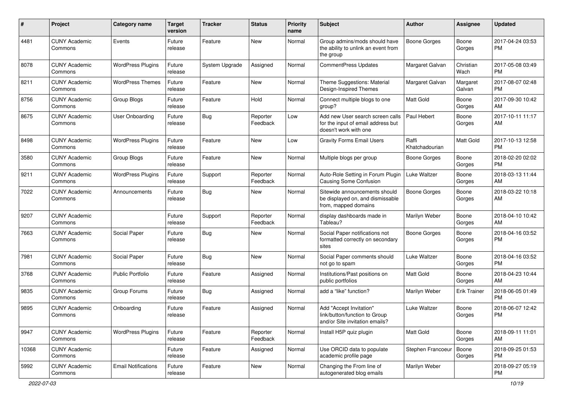| $\#$  | Project                         | <b>Category name</b>       | <b>Target</b><br>version | <b>Tracker</b> | <b>Status</b>        | <b>Priority</b><br>name | <b>Subject</b>                                                                                  | Author                  | Assignee            | <b>Updated</b>                |
|-------|---------------------------------|----------------------------|--------------------------|----------------|----------------------|-------------------------|-------------------------------------------------------------------------------------------------|-------------------------|---------------------|-------------------------------|
| 4481  | <b>CUNY Academic</b><br>Commons | Events                     | Future<br>release        | Feature        | New                  | Normal                  | Group admins/mods should have<br>the ability to unlink an event from<br>the group               | <b>Boone Gorges</b>     | Boone<br>Gorges     | 2017-04-24 03:53<br><b>PM</b> |
| 8078  | <b>CUNY Academic</b><br>Commons | <b>WordPress Plugins</b>   | Future<br>release        | System Upgrade | Assigned             | Normal                  | <b>CommentPress Updates</b>                                                                     | Margaret Galvan         | Christian<br>Wach   | 2017-05-08 03:49<br><b>PM</b> |
| 8211  | <b>CUNY Academic</b><br>Commons | <b>WordPress Themes</b>    | Future<br>release        | Feature        | New                  | Normal                  | Theme Suggestions: Material<br>Design-Inspired Themes                                           | Margaret Galvan         | Margaret<br>Galvan  | 2017-08-07 02:48<br><b>PM</b> |
| 8756  | <b>CUNY Academic</b><br>Commons | Group Blogs                | Future<br>release        | Feature        | Hold                 | Normal                  | Connect multiple blogs to one<br>group?                                                         | Matt Gold               | Boone<br>Gorges     | 2017-09-30 10:42<br>AM        |
| 8675  | <b>CUNY Academic</b><br>Commons | User Onboarding            | Future<br>release        | Bug            | Reporter<br>Feedback | Low                     | Add new User search screen calls<br>for the input of email address but<br>doesn't work with one | Paul Hebert             | Boone<br>Gorges     | 2017-10-11 11:17<br>AM        |
| 8498  | <b>CUNY Academic</b><br>Commons | <b>WordPress Plugins</b>   | Future<br>release        | Feature        | <b>New</b>           | Low                     | <b>Gravity Forms Email Users</b>                                                                | Raffi<br>Khatchadourian | Matt Gold           | 2017-10-13 12:58<br><b>PM</b> |
| 3580  | <b>CUNY Academic</b><br>Commons | Group Blogs                | Future<br>release        | Feature        | New                  | Normal                  | Multiple blogs per group                                                                        | <b>Boone Gorges</b>     | Boone<br>Gorges     | 2018-02-20 02:02<br><b>PM</b> |
| 9211  | <b>CUNY Academic</b><br>Commons | <b>WordPress Plugins</b>   | Future<br>release        | Support        | Reporter<br>Feedback | Normal                  | Auto-Role Setting in Forum Plugin<br><b>Causing Some Confusion</b>                              | Luke Waltzer            | Boone<br>Gorges     | 2018-03-13 11:44<br>AM        |
| 7022  | <b>CUNY Academic</b><br>Commons | Announcements              | Future<br>release        | Bug            | New                  | Normal                  | Sitewide announcements should<br>be displayed on, and dismissable<br>from, mapped domains       | Boone Gorges            | Boone<br>Gorges     | 2018-03-22 10:18<br>AM        |
| 9207  | <b>CUNY Academic</b><br>Commons |                            | Future<br>release        | Support        | Reporter<br>Feedback | Normal                  | display dashboards made in<br>Tableau?                                                          | Marilyn Weber           | Boone<br>Gorges     | 2018-04-10 10:42<br>AM        |
| 7663  | <b>CUNY Academic</b><br>Commons | Social Paper               | Future<br>release        | Bug            | New                  | Normal                  | Social Paper notifications not<br>formatted correctly on secondary<br>sites                     | <b>Boone Gorges</b>     | Boone<br>Gorges     | 2018-04-16 03:52<br><b>PM</b> |
| 7981  | <b>CUNY Academic</b><br>Commons | Social Paper               | Future<br>release        | Bug            | <b>New</b>           | Normal                  | Social Paper comments should<br>not go to spam                                                  | Luke Waltzer            | Boone<br>Gorges     | 2018-04-16 03:52<br><b>PM</b> |
| 3768  | <b>CUNY Academic</b><br>Commons | Public Portfolio           | Future<br>release        | Feature        | Assigned             | Normal                  | Institutions/Past positions on<br>public portfolios                                             | <b>Matt Gold</b>        | Boone<br>Gorges     | 2018-04-23 10:44<br>AM        |
| 9835  | <b>CUNY Academic</b><br>Commons | Group Forums               | Future<br>release        | Bug            | Assigned             | Normal                  | add a "like" function?                                                                          | Marilyn Weber           | <b>Erik Trainer</b> | 2018-06-05 01:49<br><b>PM</b> |
| 9895  | <b>CUNY Academic</b><br>Commons | Onboarding                 | Future<br>release        | Feature        | Assigned             | Normal                  | Add "Accept Invitation"<br>link/button/function to Group<br>and/or Site invitation emails?      | Luke Waltzer            | Boone<br>Gorges     | 2018-06-07 12:42<br><b>PM</b> |
| 9947  | <b>CUNY Academic</b><br>Commons | <b>WordPress Plugins</b>   | Future<br>release        | Feature        | Reporter<br>Feedback | Normal                  | Install H5P quiz plugin                                                                         | Matt Gold               | Boone<br>Gorges     | 2018-09-11 11:01<br>AM        |
| 10368 | <b>CUNY Academic</b><br>Commons |                            | Future<br>release        | Feature        | Assigned             | Normal                  | Use ORCID data to populate<br>academic profile page                                             | Stephen Francoeur       | Boone<br>Gorges     | 2018-09-25 01:53<br>PM.       |
| 5992  | <b>CUNY Academic</b><br>Commons | <b>Email Notifications</b> | Future<br>release        | Feature        | New                  | Normal                  | Changing the From line of<br>autogenerated blog emails                                          | Marilyn Weber           |                     | 2018-09-27 05:19<br>PM        |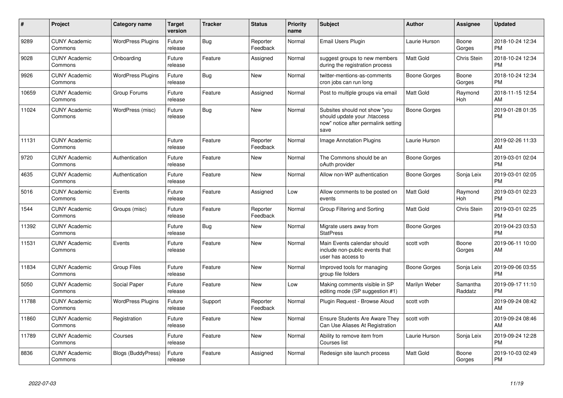| #     | <b>Project</b>                  | Category name            | <b>Target</b><br>version | <b>Tracker</b> | <b>Status</b>        | <b>Priority</b><br>name | <b>Subject</b>                                                                                               | Author              | Assignee            | <b>Updated</b>                |
|-------|---------------------------------|--------------------------|--------------------------|----------------|----------------------|-------------------------|--------------------------------------------------------------------------------------------------------------|---------------------|---------------------|-------------------------------|
| 9289  | <b>CUNY Academic</b><br>Commons | <b>WordPress Plugins</b> | Future<br>release        | Bug            | Reporter<br>Feedback | Normal                  | Email Users Plugin                                                                                           | Laurie Hurson       | Boone<br>Gorges     | 2018-10-24 12:34<br><b>PM</b> |
| 9028  | <b>CUNY Academic</b><br>Commons | Onboarding               | Future<br>release        | Feature        | Assigned             | Normal                  | suggest groups to new members<br>during the registration process                                             | <b>Matt Gold</b>    | Chris Stein         | 2018-10-24 12:34<br><b>PM</b> |
| 9926  | <b>CUNY Academic</b><br>Commons | <b>WordPress Plugins</b> | Future<br>release        | Bug            | <b>New</b>           | Normal                  | twitter-mentions-as-comments<br>cron jobs can run long                                                       | Boone Gorges        | Boone<br>Gorges     | 2018-10-24 12:34<br><b>PM</b> |
| 10659 | <b>CUNY Academic</b><br>Commons | Group Forums             | Future<br>release        | Feature        | Assigned             | Normal                  | Post to multiple groups via email                                                                            | <b>Matt Gold</b>    | Raymond<br>Hoh      | 2018-11-15 12:54<br>AM        |
| 11024 | <b>CUNY Academic</b><br>Commons | WordPress (misc)         | Future<br>release        | <b>Bug</b>     | <b>New</b>           | Normal                  | Subsites should not show "you<br>should update your .htaccess<br>now" notice after permalink setting<br>save | <b>Boone Gorges</b> |                     | 2019-01-28 01:35<br><b>PM</b> |
| 11131 | <b>CUNY Academic</b><br>Commons |                          | Future<br>release        | Feature        | Reporter<br>Feedback | Normal                  | Image Annotation Plugins                                                                                     | Laurie Hurson       |                     | 2019-02-26 11:33<br>AM        |
| 9720  | <b>CUNY Academic</b><br>Commons | Authentication           | Future<br>release        | Feature        | <b>New</b>           | Normal                  | The Commons should be an<br>oAuth provider                                                                   | Boone Gorges        |                     | 2019-03-01 02:04<br><b>PM</b> |
| 4635  | <b>CUNY Academic</b><br>Commons | Authentication           | Future<br>release        | Feature        | New                  | Normal                  | Allow non-WP authentication                                                                                  | Boone Gorges        | Sonja Leix          | 2019-03-01 02:05<br><b>PM</b> |
| 5016  | <b>CUNY Academic</b><br>Commons | Events                   | Future<br>release        | Feature        | Assigned             | Low                     | Allow comments to be posted on<br>events                                                                     | <b>Matt Gold</b>    | Raymond<br>Hoh      | 2019-03-01 02:23<br><b>PM</b> |
| 1544  | <b>CUNY Academic</b><br>Commons | Groups (misc)            | Future<br>release        | Feature        | Reporter<br>Feedback | Normal                  | Group Filtering and Sorting                                                                                  | <b>Matt Gold</b>    | Chris Stein         | 2019-03-01 02:25<br><b>PM</b> |
| 11392 | <b>CUNY Academic</b><br>Commons |                          | Future<br>release        | Bug            | New                  | Normal                  | Migrate users away from<br><b>StatPress</b>                                                                  | Boone Gorges        |                     | 2019-04-23 03:53<br><b>PM</b> |
| 11531 | <b>CUNY Academic</b><br>Commons | Events                   | Future<br>release        | Feature        | <b>New</b>           | Normal                  | Main Events calendar should<br>include non-public events that<br>user has access to                          | scott voth          | Boone<br>Gorges     | 2019-06-11 10:00<br>AM        |
| 11834 | <b>CUNY Academic</b><br>Commons | <b>Group Files</b>       | Future<br>release        | Feature        | <b>New</b>           | Normal                  | Improved tools for managing<br>group file folders                                                            | Boone Gorges        | Sonja Leix          | 2019-09-06 03:55<br><b>PM</b> |
| 5050  | <b>CUNY Academic</b><br>Commons | Social Paper             | Future<br>release        | Feature        | <b>New</b>           | Low                     | Making comments visible in SP<br>editing mode (SP suggestion #1)                                             | Marilyn Weber       | Samantha<br>Raddatz | 2019-09-17 11:10<br><b>PM</b> |
| 11788 | <b>CUNY Academic</b><br>Commons | <b>WordPress Plugins</b> | Future<br>release        | Support        | Reporter<br>Feedback | Normal                  | Plugin Request - Browse Aloud                                                                                | scott voth          |                     | 2019-09-24 08:42<br>AM        |
| 11860 | <b>CUNY Academic</b><br>Commons | Registration             | Future<br>release        | Feature        | New                  | Normal                  | <b>Ensure Students Are Aware They</b><br>Can Use Aliases At Registration                                     | scott voth          |                     | 2019-09-24 08:46<br>AM        |
| 11789 | <b>CUNY Academic</b><br>Commons | Courses                  | Future<br>release        | Feature        | <b>New</b>           | Normal                  | Ability to remove item from<br>Courses list                                                                  | Laurie Hurson       | Sonja Leix          | 2019-09-24 12:28<br><b>PM</b> |
| 8836  | <b>CUNY Academic</b><br>Commons | Blogs (BuddyPress)       | Future<br>release        | Feature        | Assigned             | Normal                  | Redesign site launch process                                                                                 | <b>Matt Gold</b>    | Boone<br>Gorges     | 2019-10-03 02:49<br><b>PM</b> |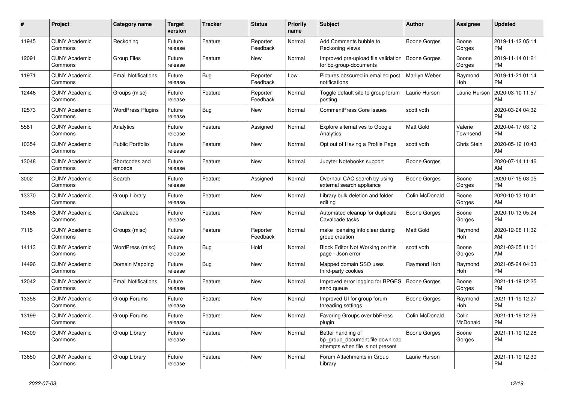| #     | <b>Project</b>                  | Category name              | Target<br>version | <b>Tracker</b> | <b>Status</b>        | Priority<br>name | <b>Subject</b>                                                                             | <b>Author</b>       | Assignee            | <b>Updated</b>                |
|-------|---------------------------------|----------------------------|-------------------|----------------|----------------------|------------------|--------------------------------------------------------------------------------------------|---------------------|---------------------|-------------------------------|
| 11945 | <b>CUNY Academic</b><br>Commons | Reckoning                  | Future<br>release | Feature        | Reporter<br>Feedback | Normal           | Add Comments bubble to<br>Reckoning views                                                  | Boone Gorges        | Boone<br>Gorges     | 2019-11-12 05:14<br><b>PM</b> |
| 12091 | <b>CUNY Academic</b><br>Commons | <b>Group Files</b>         | Future<br>release | Feature        | New                  | Normal           | Improved pre-upload file validation<br>for bp-group-documents                              | <b>Boone Gorges</b> | Boone<br>Gorges     | 2019-11-14 01:21<br><b>PM</b> |
| 11971 | <b>CUNY Academic</b><br>Commons | <b>Email Notifications</b> | Future<br>release | Bug            | Reporter<br>Feedback | Low              | Pictures obscured in emailed post<br>notifications                                         | Marilyn Weber       | Raymond<br>Hoh      | 2019-11-21 01:14<br><b>PM</b> |
| 12446 | <b>CUNY Academic</b><br>Commons | Groups (misc)              | Future<br>release | Feature        | Reporter<br>Feedback | Normal           | Toggle default site to group forum<br>posting                                              | Laurie Hurson       | Laurie Hurson       | 2020-03-10 11:57<br>AM        |
| 12573 | <b>CUNY Academic</b><br>Commons | <b>WordPress Plugins</b>   | Future<br>release | Bug            | New                  | Normal           | CommentPress Core Issues                                                                   | scott voth          |                     | 2020-03-24 04:32<br><b>PM</b> |
| 5581  | <b>CUNY Academic</b><br>Commons | Analytics                  | Future<br>release | Feature        | Assigned             | Normal           | <b>Explore alternatives to Google</b><br>Analytics                                         | Matt Gold           | Valerie<br>Townsend | 2020-04-17 03:12<br><b>PM</b> |
| 10354 | <b>CUNY Academic</b><br>Commons | <b>Public Portfolio</b>    | Future<br>release | Feature        | <b>New</b>           | Normal           | Opt out of Having a Profile Page                                                           | scott voth          | Chris Stein         | 2020-05-12 10:43<br>AM        |
| 13048 | <b>CUNY Academic</b><br>Commons | Shortcodes and<br>embeds   | Future<br>release | Feature        | New                  | Normal           | Jupyter Notebooks support                                                                  | Boone Gorges        |                     | 2020-07-14 11:46<br>AM        |
| 3002  | <b>CUNY Academic</b><br>Commons | Search                     | Future<br>release | Feature        | Assigned             | Normal           | Overhaul CAC search by using<br>external search appliance                                  | Boone Gorges        | Boone<br>Gorges     | 2020-07-15 03:05<br><b>PM</b> |
| 13370 | <b>CUNY Academic</b><br>Commons | Group Library              | Future<br>release | Feature        | <b>New</b>           | Normal           | Library bulk deletion and folder<br>editing                                                | Colin McDonald      | Boone<br>Gorges     | 2020-10-13 10:41<br>AM        |
| 13466 | <b>CUNY Academic</b><br>Commons | Cavalcade                  | Future<br>release | Feature        | New                  | Normal           | Automated cleanup for duplicate<br>Cavalcade tasks                                         | Boone Gorges        | Boone<br>Gorges     | 2020-10-13 05:24<br>PM        |
| 7115  | <b>CUNY Academic</b><br>Commons | Groups (misc)              | Future<br>release | Feature        | Reporter<br>Feedback | Normal           | make licensing info clear during<br>group creation                                         | Matt Gold           | Raymond<br>Hoh      | 2020-12-08 11:32<br><b>AM</b> |
| 14113 | <b>CUNY Academic</b><br>Commons | WordPress (misc)           | Future<br>release | Bug            | Hold                 | Normal           | Block Editor Not Working on this<br>page - Json error                                      | scott voth          | Boone<br>Gorges     | 2021-03-05 11:01<br>AM        |
| 14496 | <b>CUNY Academic</b><br>Commons | Domain Mapping             | Future<br>release | Bug            | <b>New</b>           | Normal           | Mapped domain SSO uses<br>third-party cookies                                              | Raymond Hoh         | Raymond<br>Hoh      | 2021-05-24 04:03<br>PM        |
| 12042 | <b>CUNY Academic</b><br>Commons | <b>Email Notifications</b> | Future<br>release | Feature        | <b>New</b>           | Normal           | Improved error logging for BPGES<br>send queue                                             | Boone Gorges        | Boone<br>Gorges     | 2021-11-19 12:25<br><b>PM</b> |
| 13358 | <b>CUNY Academic</b><br>Commons | Group Forums               | Future<br>release | Feature        | New                  | Normal           | Improved UI for group forum<br>threading settings                                          | Boone Gorges        | Raymond<br>Hoh      | 2021-11-19 12:27<br><b>PM</b> |
| 13199 | <b>CUNY Academic</b><br>Commons | Group Forums               | Future<br>release | Feature        | <b>New</b>           | Normal           | Favoring Groups over bbPress<br>plugin                                                     | Colin McDonald      | Colin<br>McDonald   | 2021-11-19 12:28<br><b>PM</b> |
| 14309 | <b>CUNY Academic</b><br>Commons | Group Library              | Future<br>release | Feature        | New                  | Normal           | Better handling of<br>bp_group_document file download<br>attempts when file is not present | Boone Gorges        | Boone<br>Gorges     | 2021-11-19 12:28<br><b>PM</b> |
| 13650 | <b>CUNY Academic</b><br>Commons | Group Library              | Future<br>release | Feature        | <b>New</b>           | Normal           | Forum Attachments in Group<br>Library                                                      | Laurie Hurson       |                     | 2021-11-19 12:30<br><b>PM</b> |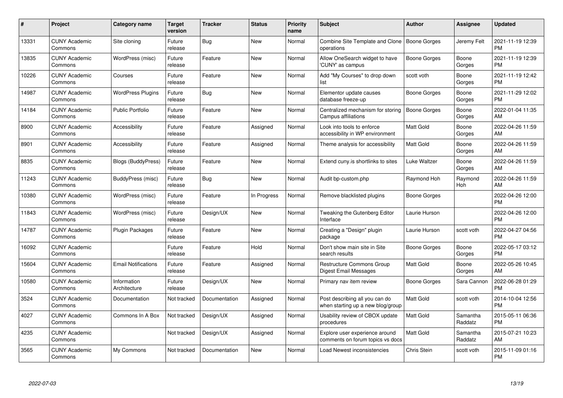| #     | Project                         | <b>Category name</b>        | Target<br>version | <b>Tracker</b> | <b>Status</b> | Priority<br>name | <b>Subject</b>                                                      | <b>Author</b>       | <b>Assignee</b>     | <b>Updated</b>                |
|-------|---------------------------------|-----------------------------|-------------------|----------------|---------------|------------------|---------------------------------------------------------------------|---------------------|---------------------|-------------------------------|
| 13331 | <b>CUNY Academic</b><br>Commons | Site cloning                | Future<br>release | Bug            | <b>New</b>    | Normal           | Combine Site Template and Clone<br>operations                       | Boone Gorges        | Jeremy Felt         | 2021-11-19 12:39<br><b>PM</b> |
| 13835 | <b>CUNY Academic</b><br>Commons | WordPress (misc)            | Future<br>release | Feature        | <b>New</b>    | Normal           | Allow OneSearch widget to have<br>'CUNY' as campus                  | Boone Gorges        | Boone<br>Gorges     | 2021-11-19 12:39<br><b>PM</b> |
| 10226 | <b>CUNY Academic</b><br>Commons | Courses                     | Future<br>release | Feature        | <b>New</b>    | Normal           | Add "My Courses" to drop down<br>list                               | scott voth          | Boone<br>Gorges     | 2021-11-19 12:42<br><b>PM</b> |
| 14987 | <b>CUNY Academic</b><br>Commons | <b>WordPress Plugins</b>    | Future<br>release | Bug            | <b>New</b>    | Normal           | Elementor update causes<br>database freeze-up                       | Boone Gorges        | Boone<br>Gorges     | 2021-11-29 12:02<br><b>PM</b> |
| 14184 | <b>CUNY Academic</b><br>Commons | <b>Public Portfolio</b>     | Future<br>release | Feature        | <b>New</b>    | Normal           | Centralized mechanism for storing<br>Campus affiliations            | <b>Boone Gorges</b> | Boone<br>Gorges     | 2022-01-04 11:35<br>AM        |
| 8900  | <b>CUNY Academic</b><br>Commons | Accessibility               | Future<br>release | Feature        | Assigned      | Normal           | Look into tools to enforce<br>accessibility in WP environment       | Matt Gold           | Boone<br>Gorges     | 2022-04-26 11:59<br>AM        |
| 8901  | <b>CUNY Academic</b><br>Commons | Accessibility               | Future<br>release | Feature        | Assigned      | Normal           | Theme analysis for accessibility                                    | Matt Gold           | Boone<br>Gorges     | 2022-04-26 11:59<br>AM        |
| 8835  | <b>CUNY Academic</b><br>Commons | <b>Blogs (BuddyPress)</b>   | Future<br>release | Feature        | <b>New</b>    | Normal           | Extend cuny is shortlinks to sites                                  | Luke Waltzer        | Boone<br>Gorges     | 2022-04-26 11:59<br>AM        |
| 11243 | <b>CUNY Academic</b><br>Commons | BuddyPress (misc)           | Future<br>release | Bug            | New           | Normal           | Audit bp-custom.php                                                 | Raymond Hoh         | Raymond<br>Hoh      | 2022-04-26 11:59<br>AM        |
| 10380 | <b>CUNY Academic</b><br>Commons | WordPress (misc)            | Future<br>release | Feature        | In Progress   | Normal           | Remove blacklisted plugins                                          | Boone Gorges        |                     | 2022-04-26 12:00<br>PM        |
| 11843 | <b>CUNY Academic</b><br>Commons | WordPress (misc)            | Future<br>release | Design/UX      | New           | Normal           | Tweaking the Gutenberg Editor<br>Interface                          | Laurie Hurson       |                     | 2022-04-26 12:00<br><b>PM</b> |
| 14787 | <b>CUNY Academic</b><br>Commons | <b>Plugin Packages</b>      | Future<br>release | Feature        | New           | Normal           | Creating a "Design" plugin<br>package                               | Laurie Hurson       | scott voth          | 2022-04-27 04:56<br><b>PM</b> |
| 16092 | <b>CUNY Academic</b><br>Commons |                             | Future<br>release | Feature        | Hold          | Normal           | Don't show main site in Site<br>search results                      | <b>Boone Gorges</b> | Boone<br>Gorges     | 2022-05-17 03:12<br>PM.       |
| 15604 | <b>CUNY Academic</b><br>Commons | <b>Email Notifications</b>  | Future<br>release | Feature        | Assigned      | Normal           | <b>Restructure Commons Group</b><br>Digest Email Messages           | Matt Gold           | Boone<br>Gorges     | 2022-05-26 10:45<br>AM        |
| 10580 | <b>CUNY Academic</b><br>Commons | Information<br>Architecture | Future<br>release | Design/UX      | New           | Normal           | Primary nav item review                                             | Boone Gorges        | Sara Cannon         | 2022-06-28 01:29<br><b>PM</b> |
| 3524  | <b>CUNY Academic</b><br>Commons | Documentation               | Not tracked       | Documentation  | Assigned      | Normal           | Post describing all you can do<br>when starting up a new blog/group | Matt Gold           | scott voth          | 2014-10-04 12:56<br><b>PM</b> |
| 4027  | <b>CUNY Academic</b><br>Commons | Commons In A Box            | Not tracked       | Design/UX      | Assigned      | Normal           | Usability review of CBOX update<br>procedures                       | <b>Matt Gold</b>    | Samantha<br>Raddatz | 2015-05-11 06:36<br><b>PM</b> |
| 4235  | <b>CUNY Academic</b><br>Commons |                             | Not tracked       | Design/UX      | Assigned      | Normal           | Explore user experience around<br>comments on forum topics vs docs  | Matt Gold           | Samantha<br>Raddatz | 2015-07-21 10:23<br>AM        |
| 3565  | <b>CUNY Academic</b><br>Commons | My Commons                  | Not tracked       | Documentation  | <b>New</b>    | Normal           | Load Newest inconsistencies                                         | Chris Stein         | scott voth          | 2015-11-09 01:16<br>PM        |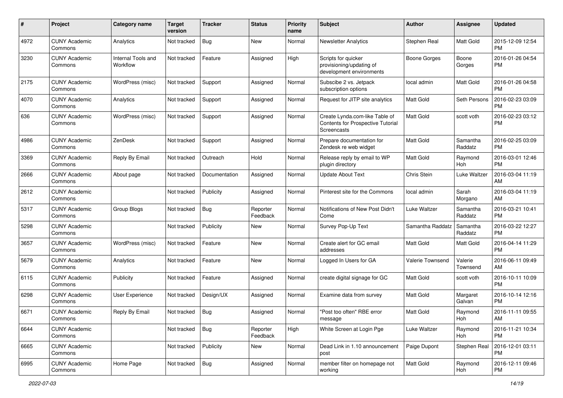| #    | Project                         | <b>Category name</b>           | <b>Target</b><br>version | Tracker       | <b>Status</b>        | <b>Priority</b><br>name | <b>Subject</b>                                                                     | Author              | <b>Assignee</b>     | <b>Updated</b>                |
|------|---------------------------------|--------------------------------|--------------------------|---------------|----------------------|-------------------------|------------------------------------------------------------------------------------|---------------------|---------------------|-------------------------------|
| 4972 | <b>CUNY Academic</b><br>Commons | Analytics                      | Not tracked              | <b>Bug</b>    | New                  | Normal                  | <b>Newsletter Analytics</b>                                                        | Stephen Real        | Matt Gold           | 2015-12-09 12:54<br><b>PM</b> |
| 3230 | <b>CUNY Academic</b><br>Commons | Internal Tools and<br>Workflow | Not tracked              | Feature       | Assigned             | High                    | Scripts for quicker<br>provisioning/updating of<br>development environments        | <b>Boone Gorges</b> | Boone<br>Gorges     | 2016-01-26 04:54<br><b>PM</b> |
| 2175 | <b>CUNY Academic</b><br>Commons | WordPress (misc)               | Not tracked              | Support       | Assigned             | Normal                  | Subscibe 2 vs. Jetpack<br>subscription options                                     | local admin         | Matt Gold           | 2016-01-26 04:58<br><b>PM</b> |
| 4070 | <b>CUNY Academic</b><br>Commons | Analytics                      | Not tracked              | Support       | Assigned             | Normal                  | Request for JITP site analytics                                                    | Matt Gold           | Seth Persons        | 2016-02-23 03:09<br><b>PM</b> |
| 636  | <b>CUNY Academic</b><br>Commons | WordPress (misc)               | Not tracked              | Support       | Assigned             | Normal                  | Create Lynda.com-like Table of<br>Contents for Prospective Tutorial<br>Screencasts | <b>Matt Gold</b>    | scott voth          | 2016-02-23 03:12<br>PM        |
| 4986 | <b>CUNY Academic</b><br>Commons | ZenDesk                        | Not tracked              | Support       | Assigned             | Normal                  | Prepare documentation for<br>Zendesk re web widget                                 | <b>Matt Gold</b>    | Samantha<br>Raddatz | 2016-02-25 03:09<br><b>PM</b> |
| 3369 | <b>CUNY Academic</b><br>Commons | Reply By Email                 | Not tracked              | Outreach      | Hold                 | Normal                  | Release reply by email to WP<br>plugin directory                                   | <b>Matt Gold</b>    | Raymond<br>Hoh      | 2016-03-01 12:46<br><b>PM</b> |
| 2666 | <b>CUNY Academic</b><br>Commons | About page                     | Not tracked              | Documentation | Assigned             | Normal                  | <b>Update About Text</b>                                                           | Chris Stein         | Luke Waltzer        | 2016-03-04 11:19<br>AM        |
| 2612 | <b>CUNY Academic</b><br>Commons |                                | Not tracked              | Publicity     | Assigned             | Normal                  | Pinterest site for the Commons                                                     | local admin         | Sarah<br>Morgano    | 2016-03-04 11:19<br>AM        |
| 5317 | <b>CUNY Academic</b><br>Commons | Group Blogs                    | Not tracked              | <b>Bug</b>    | Reporter<br>Feedback | Normal                  | Notifications of New Post Didn't<br>Come                                           | Luke Waltzer        | Samantha<br>Raddatz | 2016-03-21 10:41<br><b>PM</b> |
| 5298 | <b>CUNY Academic</b><br>Commons |                                | Not tracked              | Publicity     | New                  | Normal                  | Survey Pop-Up Text                                                                 | Samantha Raddatz    | Samantha<br>Raddatz | 2016-03-22 12:27<br><b>PM</b> |
| 3657 | <b>CUNY Academic</b><br>Commons | WordPress (misc)               | Not tracked              | Feature       | New                  | Normal                  | Create alert for GC email<br>addresses                                             | Matt Gold           | Matt Gold           | 2016-04-14 11:29<br><b>PM</b> |
| 5679 | <b>CUNY Academic</b><br>Commons | Analytics                      | Not tracked              | Feature       | New                  | Normal                  | Logged In Users for GA                                                             | Valerie Townsend    | Valerie<br>Townsend | 2016-06-11 09:49<br>AM        |
| 6115 | <b>CUNY Academic</b><br>Commons | Publicity                      | Not tracked              | Feature       | Assigned             | Normal                  | create digital signage for GC                                                      | <b>Matt Gold</b>    | scott voth          | 2016-10-11 10:09<br><b>PM</b> |
| 6298 | <b>CUNY Academic</b><br>Commons | User Experience                | Not tracked              | Design/UX     | Assigned             | Normal                  | Examine data from survey                                                           | Matt Gold           | Margaret<br>Galvan  | 2016-10-14 12:16<br><b>PM</b> |
| 6671 | <b>CUNY Academic</b><br>Commons | Reply By Email                 | Not tracked              | Bug           | Assigned             | Normal                  | 'Post too often" RBE error<br>message                                              | Matt Gold           | Raymond<br>Hoh      | 2016-11-11 09:55<br>AM        |
| 6644 | <b>CUNY Academic</b><br>Commons |                                | Not tracked              | <b>Bug</b>    | Reporter<br>Feedback | High                    | White Screen at Login Pge                                                          | Luke Waltzer        | Raymond<br>Hoh      | 2016-11-21 10:34<br><b>PM</b> |
| 6665 | <b>CUNY Academic</b><br>Commons |                                | Not tracked              | Publicity     | New                  | Normal                  | Dead Link in 1.10 announcement<br>post                                             | Paige Dupont        | Stephen Real        | 2016-12-01 03:11<br>PM        |
| 6995 | <b>CUNY Academic</b><br>Commons | Home Page                      | Not tracked              | Bug           | Assigned             | Normal                  | member filter on homepage not<br>working                                           | Matt Gold           | Raymond<br>Hoh      | 2016-12-11 09:46<br>PM        |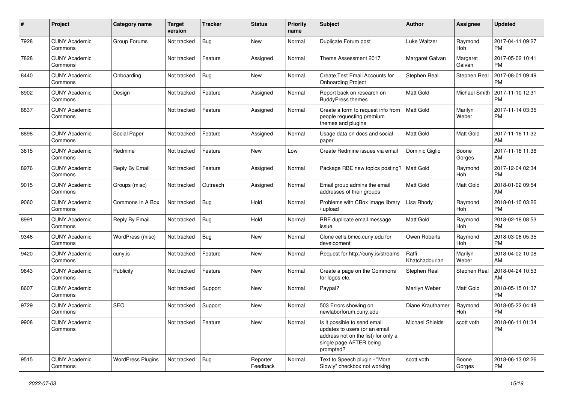| #    | Project                         | Category name            | <b>Target</b><br>version | Tracker    | <b>Status</b>        | <b>Priority</b><br>name | <b>Subject</b>                                                                                                                               | Author                  | Assignee             | <b>Updated</b>                |
|------|---------------------------------|--------------------------|--------------------------|------------|----------------------|-------------------------|----------------------------------------------------------------------------------------------------------------------------------------------|-------------------------|----------------------|-------------------------------|
| 7928 | <b>CUNY Academic</b><br>Commons | Group Forums             | Not tracked              | <b>Bug</b> | New                  | Normal                  | Duplicate Forum post                                                                                                                         | Luke Waltzer            | Raymond<br>Hoh       | 2017-04-11 09:27<br><b>PM</b> |
| 7828 | <b>CUNY Academic</b><br>Commons |                          | Not tracked              | Feature    | Assigned             | Normal                  | Theme Assessment 2017                                                                                                                        | Margaret Galvan         | Margaret<br>Galvan   | 2017-05-02 10:41<br><b>PM</b> |
| 8440 | <b>CUNY Academic</b><br>Commons | Onboarding               | Not tracked              | <b>Bug</b> | New                  | Normal                  | Create Test Email Accounts for<br><b>Onboarding Project</b>                                                                                  | Stephen Real            | Stephen Real         | 2017-08-01 09:49<br><b>PM</b> |
| 8902 | <b>CUNY Academic</b><br>Commons | Design                   | Not tracked              | Feature    | Assigned             | Normal                  | Report back on research on<br><b>BuddyPress themes</b>                                                                                       | <b>Matt Gold</b>        | <b>Michael Smith</b> | 2017-11-10 12:31<br><b>PM</b> |
| 8837 | <b>CUNY Academic</b><br>Commons |                          | Not tracked              | Feature    | Assigned             | Normal                  | Create a form to request info from<br>people requesting premium<br>themes and plugins                                                        | l Matt Gold             | Marilyn<br>Weber     | 2017-11-14 03:35<br><b>PM</b> |
| 8898 | <b>CUNY Academic</b><br>Commons | Social Paper             | Not tracked              | Feature    | Assigned             | Normal                  | Usage data on docs and social<br>paper                                                                                                       | <b>Matt Gold</b>        | Matt Gold            | 2017-11-16 11:32<br>AM        |
| 3615 | <b>CUNY Academic</b><br>Commons | Redmine                  | Not tracked              | Feature    | <b>New</b>           | Low                     | Create Redmine issues via email                                                                                                              | Dominic Giglio          | Boone<br>Gorges      | 2017-11-16 11:36<br>AM        |
| 8976 | <b>CUNY Academic</b><br>Commons | Reply By Email           | Not tracked              | Feature    | Assigned             | Normal                  | Package RBE new topics posting?                                                                                                              | Matt Gold               | Raymond<br>Hoh       | 2017-12-04 02:34<br><b>PM</b> |
| 9015 | <b>CUNY Academic</b><br>Commons | Groups (misc)            | Not tracked              | Outreach   | Assigned             | Normal                  | Email group admins the email<br>addresses of their groups                                                                                    | <b>Matt Gold</b>        | Matt Gold            | 2018-01-02 09:54<br>AM        |
| 9060 | <b>CUNY Academic</b><br>Commons | Commons In A Box         | Not tracked              | Bug        | Hold                 | Normal                  | Problems with CBox image library<br>/ upload                                                                                                 | Lisa Rhody              | Raymond<br>Hoh       | 2018-01-10 03:26<br><b>PM</b> |
| 8991 | <b>CUNY Academic</b><br>Commons | Reply By Email           | Not tracked              | <b>Bug</b> | Hold                 | Normal                  | RBE duplicate email message<br>issue                                                                                                         | Matt Gold               | Raymond<br>Hoh       | 2018-02-18 08:53<br><b>PM</b> |
| 9346 | <b>CUNY Academic</b><br>Commons | WordPress (misc)         | Not tracked              | Bug        | New                  | Normal                  | Clone cetls.bmcc.cuny.edu for<br>development                                                                                                 | Owen Roberts            | Raymond<br>Hoh       | 2018-03-06 05:35<br><b>PM</b> |
| 9420 | <b>CUNY Academic</b><br>Commons | cuny.is                  | Not tracked              | Feature    | New                  | Normal                  | Request for http://cuny.is/streams                                                                                                           | Raffi<br>Khatchadourian | Marilyn<br>Weber     | 2018-04-02 10:08<br>AM        |
| 9643 | <b>CUNY Academic</b><br>Commons | Publicity                | Not tracked              | Feature    | New                  | Normal                  | Create a page on the Commons<br>for logos etc.                                                                                               | Stephen Real            | Stephen Real         | 2018-04-24 10:53<br>AM        |
| 8607 | <b>CUNY Academic</b><br>Commons |                          | Not tracked              | Support    | <b>New</b>           | Normal                  | Paypal?                                                                                                                                      | Marilyn Weber           | Matt Gold            | 2018-05-15 01:37<br><b>PM</b> |
| 9729 | <b>CUNY Academic</b><br>Commons | <b>SEO</b>               | Not tracked              | Support    | <b>New</b>           | Normal                  | 503 Errors showing on<br>newlaborforum.cuny.edu                                                                                              | Diane Krauthamer        | Raymond<br>Hoh       | 2018-05-22 04:48<br><b>PM</b> |
| 9908 | <b>CUNY Academic</b><br>Commons |                          | Not tracked              | Feature    | New                  | Normal                  | Is it possible to send email<br>updates to users (or an email<br>address not on the list) for only a<br>single page AFTER being<br>prompted? | Michael Shields         | scott voth           | 2018-06-11 01:34<br><b>PM</b> |
| 9515 | <b>CUNY Academic</b><br>Commons | <b>WordPress Plugins</b> | Not tracked              | Bug        | Reporter<br>Feedback | Normal                  | Text to Speech plugin - "More<br>Slowly" checkbox not working                                                                                | scott voth              | Boone<br>Gorges      | 2018-06-13 02:26<br><b>PM</b> |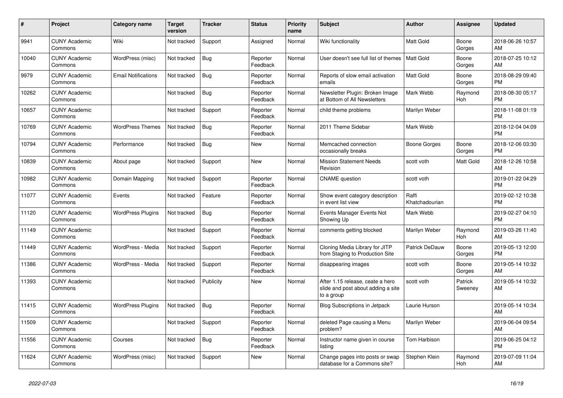| #     | <b>Project</b>                  | Category name              | <b>Target</b><br>version | <b>Tracker</b> | <b>Status</b>        | Priority<br>name | <b>Subject</b>                                                                       | <b>Author</b>           | Assignee           | <b>Updated</b>                |
|-------|---------------------------------|----------------------------|--------------------------|----------------|----------------------|------------------|--------------------------------------------------------------------------------------|-------------------------|--------------------|-------------------------------|
| 9941  | <b>CUNY Academic</b><br>Commons | Wiki                       | Not tracked              | Support        | Assigned             | Normal           | Wiki functionality                                                                   | <b>Matt Gold</b>        | Boone<br>Gorges    | 2018-06-26 10:57<br>AM        |
| 10040 | <b>CUNY Academic</b><br>Commons | WordPress (misc)           | Not tracked              | <b>Bug</b>     | Reporter<br>Feedback | Normal           | User doesn't see full list of themes                                                 | <b>Matt Gold</b>        | Boone<br>Gorges    | 2018-07-25 10:12<br>AM        |
| 9979  | <b>CUNY Academic</b><br>Commons | <b>Email Notifications</b> | Not tracked              | <b>Bug</b>     | Reporter<br>Feedback | Normal           | Reports of slow email activation<br>emails                                           | Matt Gold               | Boone<br>Gorges    | 2018-08-29 09:40<br><b>PM</b> |
| 10262 | <b>CUNY Academic</b><br>Commons |                            | Not tracked              | Bug            | Reporter<br>Feedback | Normal           | Newsletter Plugin: Broken Image<br>at Bottom of All Newsletters                      | Mark Webb               | Raymond<br>Hoh     | 2018-08-30 05:17<br><b>PM</b> |
| 10657 | <b>CUNY Academic</b><br>Commons |                            | Not tracked              | Support        | Reporter<br>Feedback | Normal           | child theme problems                                                                 | Marilyn Weber           |                    | 2018-11-08 01:19<br><b>PM</b> |
| 10769 | <b>CUNY Academic</b><br>Commons | <b>WordPress Themes</b>    | Not tracked              | Bug            | Reporter<br>Feedback | Normal           | 2011 Theme Sidebar                                                                   | Mark Webb               |                    | 2018-12-04 04:09<br><b>PM</b> |
| 10794 | <b>CUNY Academic</b><br>Commons | Performance                | Not tracked              | Bug            | New                  | Normal           | Memcached connection<br>occasionally breaks                                          | Boone Gorges            | Boone<br>Gorges    | 2018-12-06 03:30<br><b>PM</b> |
| 10839 | <b>CUNY Academic</b><br>Commons | About page                 | Not tracked              | Support        | <b>New</b>           | Normal           | <b>Mission Statement Needs</b><br>Revision                                           | scott voth              | Matt Gold          | 2018-12-26 10:58<br>AM        |
| 10982 | <b>CUNY Academic</b><br>Commons | Domain Mapping             | Not tracked              | Support        | Reporter<br>Feedback | Normal           | <b>CNAME</b> question                                                                | scott voth              |                    | 2019-01-22 04:29<br><b>PM</b> |
| 11077 | <b>CUNY Academic</b><br>Commons | Events                     | Not tracked              | Feature        | Reporter<br>Feedback | Normal           | Show event category description<br>in event list view                                | Raffi<br>Khatchadourian |                    | 2019-02-12 10:38<br><b>PM</b> |
| 11120 | <b>CUNY Academic</b><br>Commons | <b>WordPress Plugins</b>   | Not tracked              | Bug            | Reporter<br>Feedback | Normal           | Events Manager Events Not<br>Showing Up                                              | Mark Webb               |                    | 2019-02-27 04:10<br><b>PM</b> |
| 11149 | <b>CUNY Academic</b><br>Commons |                            | Not tracked              | Support        | Reporter<br>Feedback | Normal           | comments getting blocked                                                             | Marilyn Weber           | Raymond<br>Hoh     | 2019-03-26 11:40<br>AM        |
| 11449 | <b>CUNY Academic</b><br>Commons | WordPress - Media          | Not tracked              | Support        | Reporter<br>Feedback | Normal           | Cloning Media Library for JITP<br>from Staging to Production Site                    | <b>Patrick DeDauw</b>   | Boone<br>Gorges    | 2019-05-13 12:00<br><b>PM</b> |
| 11386 | <b>CUNY Academic</b><br>Commons | WordPress - Media          | Not tracked              | Support        | Reporter<br>Feedback | Normal           | disappearing images                                                                  | scott voth              | Boone<br>Gorges    | 2019-05-14 10:32<br>AM        |
| 11393 | <b>CUNY Academic</b><br>Commons |                            | Not tracked              | Publicity      | <b>New</b>           | Normal           | After 1.15 release, ceate a hero<br>slide and post about adding a site<br>to a group | scott voth              | Patrick<br>Sweeney | 2019-05-14 10:32<br>AM        |
| 11415 | <b>CUNY Academic</b><br>Commons | <b>WordPress Plugins</b>   | Not tracked              | Bug            | Reporter<br>Feedback | Normal           | Blog Subscriptions in Jetpack                                                        | Laurie Hurson           |                    | 2019-05-14 10:34<br>AM        |
| 11509 | <b>CUNY Academic</b><br>Commons |                            | Not tracked              | Support        | Reporter<br>Feedback | Normal           | deleted Page causing a Menu<br>problem?                                              | Marilyn Weber           |                    | 2019-06-04 09:54<br>AM        |
| 11556 | <b>CUNY Academic</b><br>Commons | Courses                    | Not tracked              | <b>Bug</b>     | Reporter<br>Feedback | Normal           | Instructor name given in course<br>listing                                           | Tom Harbison            |                    | 2019-06-25 04:12<br><b>PM</b> |
| 11624 | <b>CUNY Academic</b><br>Commons | WordPress (misc)           | Not tracked              | Support        | <b>New</b>           | Normal           | Change pages into posts or swap<br>database for a Commons site?                      | Stephen Klein           | Raymond<br>Hoh     | 2019-07-09 11:04<br>AM        |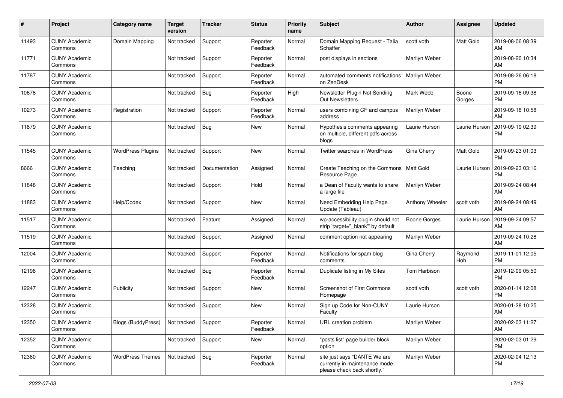| #     | Project                         | <b>Category name</b>      | <b>Target</b><br>version | <b>Tracker</b> | <b>Status</b>        | Priority<br>name | <b>Subject</b>                                                                                | <b>Author</b>    | <b>Assignee</b> | <b>Updated</b>                |
|-------|---------------------------------|---------------------------|--------------------------|----------------|----------------------|------------------|-----------------------------------------------------------------------------------------------|------------------|-----------------|-------------------------------|
| 11493 | <b>CUNY Academic</b><br>Commons | Domain Mapping            | Not tracked              | Support        | Reporter<br>Feedback | Normal           | Domain Mapping Request - Talia<br>Schaffer                                                    | scott voth       | Matt Gold       | 2019-08-06 08:39<br>AM        |
| 11771 | <b>CUNY Academic</b><br>Commons |                           | Not tracked              | Support        | Reporter<br>Feedback | Normal           | post displays in sections                                                                     | Marilyn Weber    |                 | 2019-08-20 10:34<br>AM        |
| 11787 | <b>CUNY Academic</b><br>Commons |                           | Not tracked              | Support        | Reporter<br>Feedback | Normal           | automated comments notifications<br>on ZenDesk                                                | Marilyn Weber    |                 | 2019-08-26 06:18<br><b>PM</b> |
| 10678 | <b>CUNY Academic</b><br>Commons |                           | Not tracked              | Bug            | Reporter<br>Feedback | High             | Newsletter Plugin Not Sending<br><b>Out Newsletters</b>                                       | Mark Webb        | Boone<br>Gorges | 2019-09-16 09:38<br><b>PM</b> |
| 10273 | <b>CUNY Academic</b><br>Commons | Registration              | Not tracked              | Support        | Reporter<br>Feedback | Normal           | users combining CF and campus<br>address                                                      | Marilyn Weber    |                 | 2019-09-18 10:58<br>AM        |
| 11879 | <b>CUNY Academic</b><br>Commons |                           | Not tracked              | <b>Bug</b>     | New                  | Normal           | Hypothesis comments appearing<br>on multiple, different pdfs across<br>blogs                  | Laurie Hurson    | Laurie Hurson   | 2019-09-19 02:39<br><b>PM</b> |
| 11545 | <b>CUNY Academic</b><br>Commons | <b>WordPress Plugins</b>  | Not tracked              | Support        | New                  | Normal           | Twitter searches in WordPress                                                                 | Gina Cherry      | Matt Gold       | 2019-09-23 01:03<br><b>PM</b> |
| 8666  | <b>CUNY Academic</b><br>Commons | Teaching                  | Not tracked              | Documentation  | Assigned             | Normal           | Create Teaching on the Commons<br>Resource Page                                               | <b>Matt Gold</b> | Laurie Hurson   | 2019-09-23 03:16<br><b>PM</b> |
| 11848 | <b>CUNY Academic</b><br>Commons |                           | Not tracked              | Support        | Hold                 | Normal           | a Dean of Faculty wants to share<br>a large file                                              | Marilyn Weber    |                 | 2019-09-24 08:44<br>AM.       |
| 11883 | <b>CUNY Academic</b><br>Commons | Help/Codex                | Not tracked              | Support        | <b>New</b>           | Normal           | Need Embedding Help Page<br>Update (Tableau)                                                  | Anthony Wheeler  | scott voth      | 2019-09-24 08:49<br>AM        |
| 11517 | <b>CUNY Academic</b><br>Commons |                           | Not tracked              | Feature        | Assigned             | Normal           | wp-accessibility plugin should not<br>strip 'target="_blank"' by default                      | Boone Gorges     | Laurie Hurson   | 2019-09-24 09:57<br>AM.       |
| 11519 | <b>CUNY Academic</b><br>Commons |                           | Not tracked              | Support        | Assigned             | Normal           | comment option not appearing                                                                  | Marilyn Weber    |                 | 2019-09-24 10:28<br>AM        |
| 12004 | <b>CUNY Academic</b><br>Commons |                           | Not tracked              | Support        | Reporter<br>Feedback | Normal           | Notifications for spam blog<br>comments                                                       | Gina Cherry      | Raymond<br>Hoh  | 2019-11-01 12:05<br><b>PM</b> |
| 12198 | <b>CUNY Academic</b><br>Commons |                           | Not tracked              | Bug            | Reporter<br>Feedback | Normal           | Duplicate listing in My Sites                                                                 | Tom Harbison     |                 | 2019-12-09 05:50<br><b>PM</b> |
| 12247 | <b>CUNY Academic</b><br>Commons | Publicity                 | Not tracked              | Support        | New                  | Normal           | Screenshot of First Commons<br>Homepage                                                       | scott voth       | scott voth      | 2020-01-14 12:08<br><b>PM</b> |
| 12328 | <b>CUNY Academic</b><br>Commons |                           | Not tracked              | Support        | New                  | Normal           | Sign up Code for Non-CUNY<br>Faculty                                                          | Laurie Hurson    |                 | 2020-01-28 10:25<br>AM        |
| 12350 | <b>CUNY Academic</b><br>Commons | <b>Blogs (BuddyPress)</b> | Not tracked              | Support        | Reporter<br>Feedback | Normal           | URL creation problem                                                                          | Marilyn Weber    |                 | 2020-02-03 11:27<br>AM        |
| 12352 | <b>CUNY Academic</b><br>Commons |                           | Not tracked              | Support        | New                  | Normal           | "posts list" page builder block<br>option                                                     | Marilyn Weber    |                 | 2020-02-03 01:29<br><b>PM</b> |
| 12360 | <b>CUNY Academic</b><br>Commons | <b>WordPress Themes</b>   | Not tracked              | Bug            | Reporter<br>Feedback | Normal           | site just says "DANTE We are<br>currently in maintenance mode,<br>please check back shortly." | Marilyn Weber    |                 | 2020-02-04 12:13<br><b>PM</b> |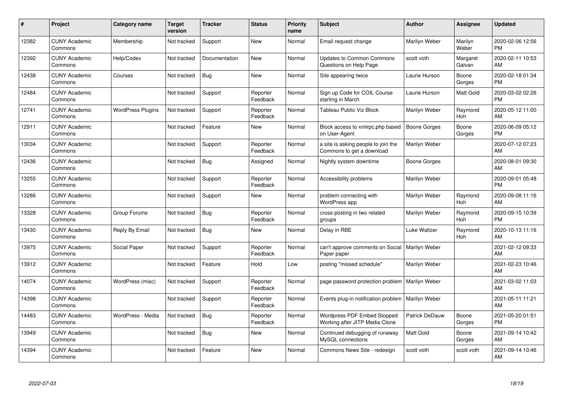| #     | Project                         | <b>Category name</b>     | <b>Target</b><br>version | <b>Tracker</b> | <b>Status</b>        | <b>Priority</b><br>name | <b>Subject</b>                                                   | <b>Author</b>       | <b>Assignee</b>    | <b>Updated</b>                |
|-------|---------------------------------|--------------------------|--------------------------|----------------|----------------------|-------------------------|------------------------------------------------------------------|---------------------|--------------------|-------------------------------|
| 12382 | <b>CUNY Academic</b><br>Commons | Membership               | Not tracked              | Support        | <b>New</b>           | Normal                  | Email request change                                             | Marilyn Weber       | Marilyn<br>Weber   | 2020-02-06 12:56<br><b>PM</b> |
| 12392 | <b>CUNY Academic</b><br>Commons | Help/Codex               | Not tracked              | Documentation  | New                  | Normal                  | <b>Updates to Common Commons</b><br>Questions on Help Page       | scott voth          | Margaret<br>Galvan | 2020-02-11 10:53<br>AM        |
| 12438 | <b>CUNY Academic</b><br>Commons | Courses                  | Not tracked              | Bug            | <b>New</b>           | Normal                  | Site appearing twice                                             | Laurie Hurson       | Boone<br>Gorges    | 2020-02-18 01:34<br><b>PM</b> |
| 12484 | <b>CUNY Academic</b><br>Commons |                          | Not tracked              | Support        | Reporter<br>Feedback | Normal                  | Sign up Code for COIL Course<br>starting in March                | Laurie Hurson       | Matt Gold          | 2020-03-02 02:26<br><b>PM</b> |
| 12741 | <b>CUNY Academic</b><br>Commons | <b>WordPress Plugins</b> | Not tracked              | Support        | Reporter<br>Feedback | Normal                  | Tableau Public Viz Block                                         | Marilyn Weber       | Raymond<br>Hoh     | 2020-05-12 11:00<br>AM        |
| 12911 | <b>CUNY Academic</b><br>Commons |                          | Not tracked              | Feature        | <b>New</b>           | Normal                  | Block access to xmlrpc.php based<br>on User-Agent                | <b>Boone Gorges</b> | Boone<br>Gorges    | 2020-06-09 05:12<br><b>PM</b> |
| 13034 | <b>CUNY Academic</b><br>Commons |                          | Not tracked              | Support        | Reporter<br>Feedback | Normal                  | a site is asking people to join the<br>Commons to get a download | Marilyn Weber       |                    | 2020-07-12 07:23<br>AM        |
| 12436 | <b>CUNY Academic</b><br>Commons |                          | Not tracked              | Bug            | Assigned             | Normal                  | Nightly system downtime                                          | Boone Gorges        |                    | 2020-08-01 09:30<br>AM        |
| 13255 | <b>CUNY Academic</b><br>Commons |                          | Not tracked              | Support        | Reporter<br>Feedback | Normal                  | Accessibility problems                                           | Marilyn Weber       |                    | 2020-09-01 05:48<br><b>PM</b> |
| 13286 | <b>CUNY Academic</b><br>Commons |                          | Not tracked              | Support        | <b>New</b>           | Normal                  | problem connecting with<br>WordPress app                         | Marilyn Weber       | Raymond<br>Hoh     | 2020-09-08 11:16<br>AM        |
| 13328 | <b>CUNY Academic</b><br>Commons | Group Forums             | Not tracked              | <b>Bug</b>     | Reporter<br>Feedback | Normal                  | cross-posting in two related<br>groups                           | Marilyn Weber       | Raymond<br>Hoh     | 2020-09-15 10:39<br><b>PM</b> |
| 13430 | <b>CUNY Academic</b><br>Commons | Reply By Email           | Not tracked              | <b>Bug</b>     | <b>New</b>           | Normal                  | Delay in RBE                                                     | Luke Waltzer        | Raymond<br>Hoh     | 2020-10-13 11:16<br>AM        |
| 13975 | <b>CUNY Academic</b><br>Commons | Social Paper             | Not tracked              | Support        | Reporter<br>Feedback | Normal                  | can't approve comments on Social<br>Paper paper                  | Marilyn Weber       |                    | 2021-02-12 09:33<br>AM        |
| 13912 | <b>CUNY Academic</b><br>Commons |                          | Not tracked              | Feature        | Hold                 | Low                     | posting "missed schedule"                                        | Marilyn Weber       |                    | 2021-02-23 10:46<br>AM        |
| 14074 | <b>CUNY Academic</b><br>Commons | WordPress (misc)         | Not tracked              | Support        | Reporter<br>Feedback | Normal                  | page password protection problem                                 | Marilyn Weber       |                    | 2021-03-02 11:03<br>AM        |
| 14398 | <b>CUNY Academic</b><br>Commons |                          | Not tracked              | Support        | Reporter<br>Feedback | Normal                  | Events plug-in notification problem                              | Marilyn Weber       |                    | 2021-05-11 11:21<br>AM        |
| 14483 | <b>CUNY Academic</b><br>Commons | WordPress - Media        | Not tracked              | Bug            | Reporter<br>Feedback | Normal                  | Wordpress PDF Embed Stopped<br>Working after JITP Media Clone    | Patrick DeDauw      | Boone<br>Gorges    | 2021-05-20 01:51<br><b>PM</b> |
| 13949 | <b>CUNY Academic</b><br>Commons |                          | Not tracked              | <b>Bug</b>     | New                  | Normal                  | Continued debugging of runaway<br>MySQL connections              | <b>Matt Gold</b>    | Boone<br>Gorges    | 2021-09-14 10:42<br>AM        |
| 14394 | <b>CUNY Academic</b><br>Commons |                          | Not tracked              | Feature        | <b>New</b>           | Normal                  | Commons News Site - redesign                                     | scott voth          | scott voth         | 2021-09-14 10:46<br>AM        |